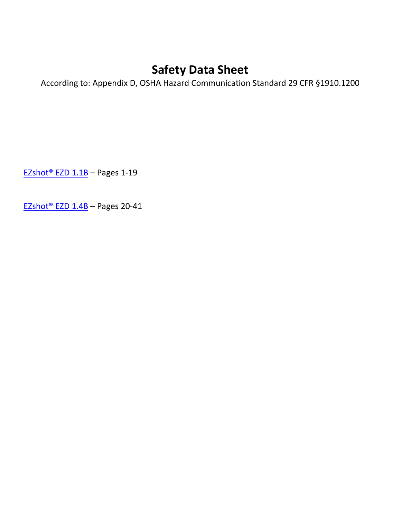According to: Appendix D, OSHA Hazard Communication Standard 29 CFR §1910.1200

EZshot® EZD 1.1B – Pages 1-19

[EZshot® EZD 1.4B](#page-20-0) – Pages 20-41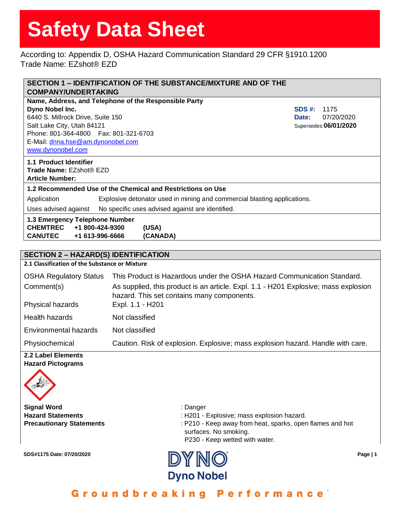According to: Appendix D, OSHA Hazard Communication Standard 29 CFR §1910.1200 Trade Name: EZshot® EZD

| SECTION 1 - IDENTIFICATION OF THE SUBSTANCE/MIXTURE AND OF THE<br><b>COMPANY/UNDERTAKING</b> |                                                                                     |                        |
|----------------------------------------------------------------------------------------------|-------------------------------------------------------------------------------------|------------------------|
|                                                                                              | Name, Address, and Telephone of the Responsible Party                               |                        |
| Dyno Nobel Inc.                                                                              |                                                                                     | <b>SDS #:</b><br>1175  |
| 6440 S. Millrock Drive, Suite 150                                                            |                                                                                     | 07/20/2020<br>Date:    |
| Salt Lake City, Utah 84121                                                                   |                                                                                     | Supersedes: 06/01/2020 |
| Phone: 801-364-4800  Fax: 801-321-6703                                                       |                                                                                     |                        |
| E-Mail: dnna.hse@am.dynonobel.com                                                            |                                                                                     |                        |
| www.dynonobel.com                                                                            |                                                                                     |                        |
| 1.1 Product Identifier                                                                       |                                                                                     |                        |
| Trade Name: EZshot® EZD                                                                      |                                                                                     |                        |
| <b>Article Number:</b>                                                                       |                                                                                     |                        |
|                                                                                              | 1.2 Recommended Use of the Chemical and Restrictions on Use                         |                        |
| Application                                                                                  | Explosive detonator used in mining and commercial blasting applications.            |                        |
| Uses advised against                                                                         | No specific uses advised against are identified.                                    |                        |
| 1.3 Emergency Telephone Number                                                               |                                                                                     |                        |
| <b>CHEMTREC</b><br>+1 800-424-9300                                                           | (USA)                                                                               |                        |
| <b>CANUTEC</b><br>+1 613-996-6666                                                            | (CANADA)                                                                            |                        |
|                                                                                              |                                                                                     |                        |
| <b>SECTION 2 - HAZARD(S) IDENTIFICATION</b>                                                  |                                                                                     |                        |
| 2.1 Classification of the Substance or Mixture                                               |                                                                                     |                        |
| <b>OSHA Regulatory Status</b>                                                                | This Product is Hazardous under the OSHA Hazard Communication Standard.             |                        |
| Comment(s)                                                                                   | As supplied, this product is an article. Expl. 1.1 - H201 Explosive; mass explosion |                        |
|                                                                                              | hazard. This set contains many components.                                          |                        |
| Physical hazards                                                                             | Expl. 1.1 - H201                                                                    |                        |
| <b>Health hazards</b>                                                                        | Not classified                                                                      |                        |
| <b>Environmental hazards</b>                                                                 | Not classified                                                                      |                        |
| Physiochemical                                                                               | Caution. Risk of explosion. Explosive; mass explosion hazard. Handle with care.     |                        |
| 2.2 Label Elements<br><b>Hazard Pictograms</b>                                               |                                                                                     |                        |
|                                                                                              |                                                                                     |                        |
| <b>Signal Word</b>                                                                           | : Danger                                                                            |                        |
| <b>Hazard Statements</b>                                                                     | : H201 - Explosive; mass explosion hazard.                                          |                        |
| <b>Procautionary Statements</b>                                                              | D <sub>210</sub> - Keep away from heat sparks, open flames and hot                  |                        |

**Precautionary Statements Recautionary Statements** in the state of the Paris of Precaution of the State of the State of the State of the State of the State of the State of the State of the State of the State of the State surfaces. No smoking. P230 - Keep wetted with water.

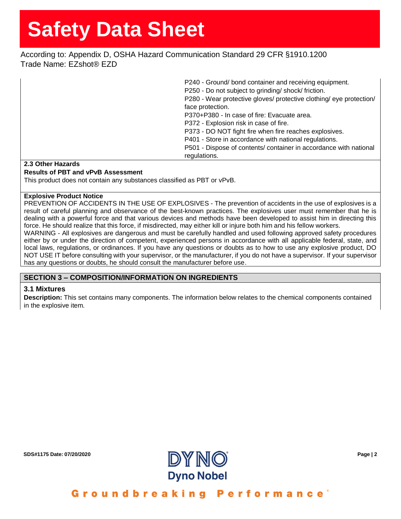According to: Appendix D, OSHA Hazard Communication Standard 29 CFR §1910.1200 Trade Name: EZshot® EZD

|                   | P240 - Ground/bond container and receiving equipment.<br>P250 - Do not subject to grinding/ shock/ friction. |
|-------------------|--------------------------------------------------------------------------------------------------------------|
|                   | P280 - Wear protective gloves/ protective clothing/ eye protection/                                          |
|                   | face protection.                                                                                             |
|                   | P370+P380 - In case of fire: Evacuate area.                                                                  |
|                   | P372 - Explosion risk in case of fire.                                                                       |
|                   | P373 - DO NOT fight fire when fire reaches explosives.                                                       |
|                   | P401 - Store in accordance with national regulations.                                                        |
|                   | P501 - Dispose of contents/ container in accordance with national                                            |
|                   | regulations.                                                                                                 |
| 2.3 Other Hazards |                                                                                                              |

## **Results of PBT and vPvB Assessment**

This product does not contain any substances classified as PBT or vPvB.

#### **Explosive Product Notice**

PREVENTION OF ACCIDENTS IN THE USE OF EXPLOSIVES - The prevention of accidents in the use of explosives is a result of careful planning and observance of the best-known practices. The explosives user must remember that he is dealing with a powerful force and that various devices and methods have been developed to assist him in directing this force. He should realize that this force, if misdirected, may either kill or injure both him and his fellow workers. WARNING - All explosives are dangerous and must be carefully handled and used following approved safety procedures either by or under the direction of competent, experienced persons in accordance with all applicable federal, state, and

local laws, regulations, or ordinances. If you have any questions or doubts as to how to use any explosive product, DO NOT USE IT before consulting with your supervisor, or the manufacturer, if you do not have a supervisor. If your supervisor has any questions or doubts, he should consult the manufacturer before use.

## **SECTION 3 – COMPOSITION/INFORMATION ON INGREDIENTS**

### **3.1 Mixtures**

**Description:** This set contains many components. The information below relates to the chemical components contained in the explosive item.

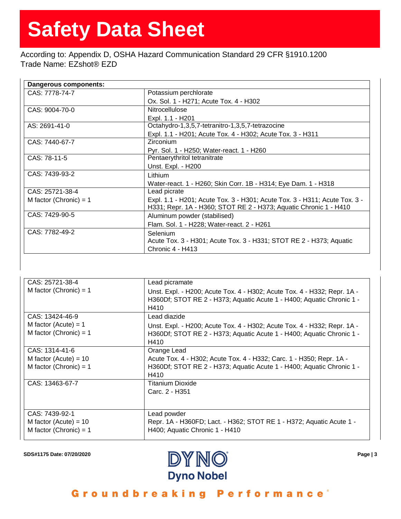According to: Appendix D, OSHA Hazard Communication Standard 29 CFR §1910.1200 Trade Name: EZshot® EZD

| Dangerous components:    |                                                                                                                                                 |  |
|--------------------------|-------------------------------------------------------------------------------------------------------------------------------------------------|--|
| CAS: 7778-74-7           | Potassium perchlorate                                                                                                                           |  |
|                          | Ox. Sol. 1 - H271; Acute Tox. 4 - H302                                                                                                          |  |
| CAS: 9004-70-0           | <b>Nitrocellulose</b>                                                                                                                           |  |
|                          | Expl. 1.1 - H201                                                                                                                                |  |
| AS: 2691-41-0            | Octahydro-1,3,5,7-tetranitro-1,3,5,7-tetrazocine                                                                                                |  |
|                          | Expl. 1.1 - H201; Acute Tox. 4 - H302; Acute Tox. 3 - H311                                                                                      |  |
| CAS: 7440-67-7           | Zirconium                                                                                                                                       |  |
|                          | Pyr. Sol. 1 - H250; Water-react. 1 - H260                                                                                                       |  |
| CAS: 78-11-5             | Pentaerythritol tetranitrate                                                                                                                    |  |
|                          | Unst. Expl. - H200                                                                                                                              |  |
| CAS: 7439-93-2           | Lithium                                                                                                                                         |  |
|                          | Water-react. 1 - H260; Skin Corr. 1B - H314; Eye Dam. 1 - H318                                                                                  |  |
| CAS: 25721-38-4          | Lead picrate                                                                                                                                    |  |
| M factor (Chronic) = $1$ | Expl. 1.1 - H201; Acute Tox. 3 - H301; Acute Tox. 3 - H311; Acute Tox. 3 -<br>H331; Repr. 1A - H360; STOT RE 2 - H373; Aquatic Chronic 1 - H410 |  |
| CAS: 7429-90-5           | Aluminum powder (stabilised)                                                                                                                    |  |
|                          | Flam. Sol. 1 - H228; Water-react. 2 - H261                                                                                                      |  |
| CAS: 7782-49-2           | <b>Selenium</b>                                                                                                                                 |  |
|                          | Acute Tox. 3 - H301; Acute Tox. 3 - H331; STOT RE 2 - H373; Aquatic                                                                             |  |
|                          | Chronic 4 - H413                                                                                                                                |  |

| CAS: 25721-38-4                                    | Lead picramate                                                                                                                                            |
|----------------------------------------------------|-----------------------------------------------------------------------------------------------------------------------------------------------------------|
| M factor (Chronic) = $1$                           | Unst. Expl. - H200; Acute Tox. 4 - H302; Acute Tox. 4 - H332; Repr. 1A -<br>H360Df; STOT RE 2 - H373; Aquatic Acute 1 - H400; Aquatic Chronic 1 -<br>H410 |
| CAS: 13424-46-9                                    | Lead diazide                                                                                                                                              |
| M factor (Acute) = $1$<br>M factor (Chronic) = $1$ | Unst. Expl. - H200; Acute Tox. 4 - H302; Acute Tox. 4 - H332; Repr. 1A -<br>H360Df; STOT RE 2 - H373; Aquatic Acute 1 - H400; Aquatic Chronic 1 -<br>H410 |
| CAS: 1314-41-6                                     | Orange Lead                                                                                                                                               |
| M factor (Acute) = $10$                            | Acute Tox. 4 - H302; Acute Tox. 4 - H332; Carc. 1 - H350; Repr. 1A -                                                                                      |
| M factor (Chronic) = $1$                           | H360Df; STOT RE 2 - H373; Aquatic Acute 1 - H400; Aquatic Chronic 1 -<br>H410                                                                             |
| CAS: 13463-67-7                                    | Titanium Dioxide                                                                                                                                          |
|                                                    | Carc. 2 - H351                                                                                                                                            |
| CAS: 7439-92-1                                     | Lead powder                                                                                                                                               |
| M factor (Acute) = $10$                            | Repr. 1A - H360FD; Lact. - H362; STOT RE 1 - H372; Aquatic Acute 1 -                                                                                      |
| M factor (Chronic) = $1$                           | H400; Aquatic Chronic 1 - H410                                                                                                                            |

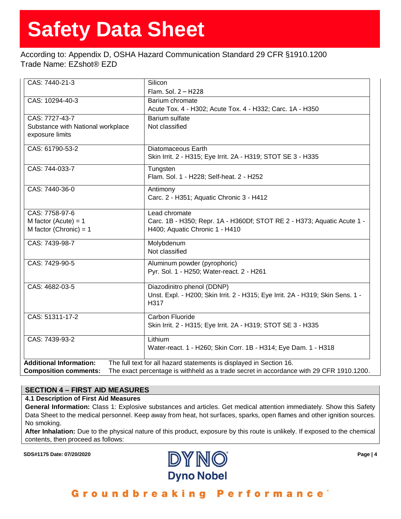According to: Appendix D, OSHA Hazard Communication Standard 29 CFR §1910.1200 Trade Name: EZshot® EZD

| CAS: 7440-21-3                                                                                                          | Silicon                                                                        |  |
|-------------------------------------------------------------------------------------------------------------------------|--------------------------------------------------------------------------------|--|
|                                                                                                                         | Flam. Sol. 2 - H228                                                            |  |
| CAS: 10294-40-3                                                                                                         | Barium chromate                                                                |  |
|                                                                                                                         | Acute Tox. 4 - H302; Acute Tox. 4 - H332; Carc. 1A - H350                      |  |
| CAS: 7727-43-7                                                                                                          | Barium sulfate                                                                 |  |
| Substance with National workplace                                                                                       | Not classified                                                                 |  |
| exposure limits                                                                                                         |                                                                                |  |
| CAS: 61790-53-2                                                                                                         | Diatomaceous Earth                                                             |  |
|                                                                                                                         | Skin Irrit. 2 - H315; Eye Irrit. 2A - H319; STOT SE 3 - H335                   |  |
| CAS: 744-033-7                                                                                                          | Tungsten                                                                       |  |
|                                                                                                                         | Flam. Sol. 1 - H228; Self-heat. 2 - H252                                       |  |
| CAS: 7440-36-0                                                                                                          | Antimony                                                                       |  |
|                                                                                                                         | Carc. 2 - H351; Aquatic Chronic 3 - H412                                       |  |
| CAS: 7758-97-6                                                                                                          | Lead chromate                                                                  |  |
| M factor (Acute) = $1$                                                                                                  | Carc. 1B - H350; Repr. 1A - H360Df; STOT RE 2 - H373; Aquatic Acute 1 -        |  |
| M factor (Chronic) = $1$                                                                                                | H400; Aquatic Chronic 1 - H410                                                 |  |
| CAS: 7439-98-7                                                                                                          | Molybdenum                                                                     |  |
|                                                                                                                         | Not classified                                                                 |  |
| CAS: 7429-90-5                                                                                                          | Aluminum powder (pyrophoric)                                                   |  |
|                                                                                                                         | Pyr. Sol. 1 - H250; Water-react. 2 - H261                                      |  |
| CAS: 4682-03-5                                                                                                          | Diazodinitro phenol (DDNP)                                                     |  |
|                                                                                                                         | Unst. Expl. - H200; Skin Irrit. 2 - H315; Eye Irrit. 2A - H319; Skin Sens. 1 - |  |
|                                                                                                                         | H317                                                                           |  |
| CAS: 51311-17-2                                                                                                         | Carbon Fluoride                                                                |  |
|                                                                                                                         | Skin Irrit. 2 - H315; Eye Irrit. 2A - H319; STOT SE 3 - H335                   |  |
| CAS: 7439-93-2                                                                                                          | Lithium                                                                        |  |
|                                                                                                                         | Water-react. 1 - H260; Skin Corr. 1B - H314; Eye Dam. 1 - H318                 |  |
| <b>Additional Information:</b>                                                                                          | The full text for all hazard statements is displayed in Section 16.            |  |
| The exact percentage is withheld as a trade secret in accordance with 29 CFR 1910.1200.<br><b>Composition comments:</b> |                                                                                |  |

## **SECTION 4 – FIRST AID MEASURES**

### **4.1 Description of First Aid Measures**

**General Information:** Class 1: Explosive substances and articles. Get medical attention immediately. Show this Safety Data Sheet to the medical personnel. Keep away from heat, hot surfaces, sparks, open flames and other ignition sources. No smoking.

**After Inhalation:** Due to the physical nature of this product, exposure by this route is unlikely. If exposed to the chemical contents, then proceed as follows:

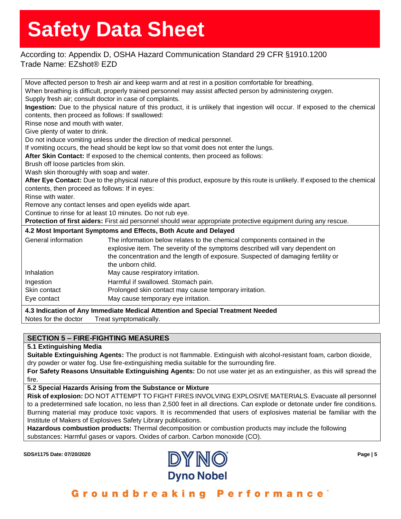## According to: Appendix D, OSHA Hazard Communication Standard 29 CFR §1910.1200 Trade Name: EZshot® EZD

|                                                                                                                 | Move affected person to fresh air and keep warm and at rest in a position comfortable for breathing.                          |  |  |
|-----------------------------------------------------------------------------------------------------------------|-------------------------------------------------------------------------------------------------------------------------------|--|--|
|                                                                                                                 | When breathing is difficult, properly trained personnel may assist affected person by administering oxygen.                   |  |  |
| Supply fresh air; consult doctor in case of complaints.                                                         |                                                                                                                               |  |  |
|                                                                                                                 | Ingestion: Due to the physical nature of this product, it is unlikely that ingestion will occur. If exposed to the chemical   |  |  |
| contents, then proceed as follows: If swallowed:                                                                |                                                                                                                               |  |  |
| Rinse nose and mouth with water.                                                                                |                                                                                                                               |  |  |
| Give plenty of water to drink.                                                                                  |                                                                                                                               |  |  |
|                                                                                                                 | Do not induce vomiting unless under the direction of medical personnel.                                                       |  |  |
|                                                                                                                 | If vomiting occurs, the head should be kept low so that vomit does not enter the lungs.                                       |  |  |
|                                                                                                                 | After Skin Contact: If exposed to the chemical contents, then proceed as follows:                                             |  |  |
| Brush off loose particles from skin.                                                                            |                                                                                                                               |  |  |
| Wash skin thoroughly with soap and water.                                                                       |                                                                                                                               |  |  |
|                                                                                                                 | After Eye Contact: Due to the physical nature of this product, exposure by this route is unlikely. If exposed to the chemical |  |  |
| contents, then proceed as follows: If in eyes:                                                                  |                                                                                                                               |  |  |
| Rinse with water.                                                                                               |                                                                                                                               |  |  |
|                                                                                                                 | Remove any contact lenses and open eyelids wide apart.                                                                        |  |  |
| Continue to rinse for at least 10 minutes. Do not rub eye.                                                      |                                                                                                                               |  |  |
| Protection of first aiders: First aid personnel should wear appropriate protective equipment during any rescue. |                                                                                                                               |  |  |
|                                                                                                                 | 4.2 Most Important Symptoms and Effects, Both Acute and Delayed                                                               |  |  |
| General information                                                                                             | The information below relates to the chemical components contained in the                                                     |  |  |
|                                                                                                                 | explosive item. The severity of the symptoms described will vary dependent on                                                 |  |  |
| the concentration and the length of exposure. Suspected of damaging fertility or                                |                                                                                                                               |  |  |
| the unborn child.                                                                                               |                                                                                                                               |  |  |
| Inhalation<br>May cause respiratory irritation.                                                                 |                                                                                                                               |  |  |
| Ingestion                                                                                                       | Harmful if swallowed. Stomach pain.                                                                                           |  |  |
| Prolonged skin contact may cause temporary irritation.<br>Skin contact                                          |                                                                                                                               |  |  |
| May cause temporary eye irritation.<br>Eye contact                                                              |                                                                                                                               |  |  |
|                                                                                                                 | 4.3 Indication of Any Immediate Medical Attention and Special Treatment Needed                                                |  |  |
| Notes for the doctor                                                                                            | Treat symptomatically.                                                                                                        |  |  |

## **SECTION 5 – FIRE-FIGHTING MEASURES**

### **5.1 Extinguishing Media**

**Suitable Extinguishing Agents:** The product is not flammable. Extinguish with alcohol-resistant foam, carbon dioxide, dry powder or water fog. Use fire-extinguishing media suitable for the surrounding fire.

**For Safety Reasons Unsuitable Extinguishing Agents:** Do not use water jet as an extinguisher, as this will spread the fire.

**5.2 Special Hazards Arising from the Substance or Mixture**

**Risk of explosion:** DO NOT ATTEMPT TO FIGHT FIRES INVOLVING EXPLOSIVE MATERIALS. Evacuate all personnel to a predetermined safe location, no less than 2,500 feet in all directions. Can explode or detonate under fire conditions. Burning material may produce toxic vapors. It is recommended that users of explosives material be familiar with the Institute of Makers of Explosives Safety Library publications.

**Hazardous combustion products:** Thermal decomposition or combustion products may include the following substances: Harmful gases or vapors. Oxides of carbon. Carbon monoxide (CO).

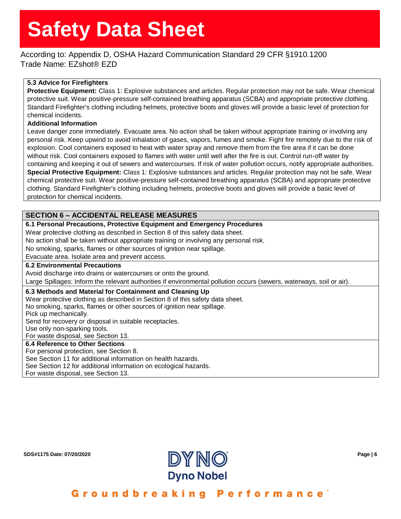According to: Appendix D, OSHA Hazard Communication Standard 29 CFR §1910.1200 Trade Name: EZshot® EZD

## **5.3 Advice for Firefighters**

**Protective Equipment:** Class 1: Explosive substances and articles. Regular protection may not be safe. Wear chemical protective suit. Wear positive-pressure self-contained breathing apparatus (SCBA) and appropriate protective clothing. Standard Firefighter's clothing including helmets, protective boots and gloves will provide a basic level of protection for chemical incidents.

### **Additional Information**

Leave danger zone immediately. Evacuate area. No action shall be taken without appropriate training or involving any personal risk. Keep upwind to avoid inhalation of gases, vapors, fumes and smoke. Fight fire remotely due to the risk of explosion. Cool containers exposed to heat with water spray and remove them from the fire area if it can be done without risk. Cool containers exposed to flames with water until well after the fire is out. Control run-off water by containing and keeping it out of sewers and watercourses. If risk of water pollution occurs, notify appropriate authorities. **Special Protective Equipment:** Class 1: Explosive substances and articles. Regular protection may not be safe. Wear chemical protective suit. Wear positive-pressure self-contained breathing apparatus (SCBA) and appropriate protective clothing. Standard Firefighter's clothing including helmets, protective boots and gloves will provide a basic level of protection for chemical incidents.

## **SECTION 6 – ACCIDENTAL RELEASE MEASURES**

| 6.1 Personal Precautions, Protective Equipment and Emergency Procedures                                              |
|----------------------------------------------------------------------------------------------------------------------|
| Wear protective clothing as described in Section 8 of this safety data sheet.                                        |
| No action shall be taken without appropriate training or involving any personal risk.                                |
| No smoking, sparks, flames or other sources of ignition near spillage.                                               |
| Evacuate area. Isolate area and prevent access.                                                                      |
| <b>6.2 Environmental Precautions</b>                                                                                 |
| Avoid discharge into drains or watercourses or onto the ground.                                                      |
| Large Spillages: Inform the relevant authorities if environmental pollution occurs (sewers, waterways, soil or air). |
| 6.3 Methods and Material for Containment and Cleaning Up                                                             |
| Wear protective clothing as described in Section 8 of this safety data sheet.                                        |
| No smoking, sparks, flames or other sources of ignition near spillage.                                               |
| Pick up mechanically.                                                                                                |
| Send for recovery or disposal in suitable receptacles.                                                               |
| Use only non-sparking tools.                                                                                         |
| For waste disposal, see Section 13.                                                                                  |
| 6.4 Reference to Other Sections                                                                                      |
| For personal protection, see Section 8.                                                                              |
| See Section 11 for additional information on health hazards.                                                         |
| See Section 12 for additional information on ecological hazards.                                                     |
| For waste disposal, see Section 13.                                                                                  |

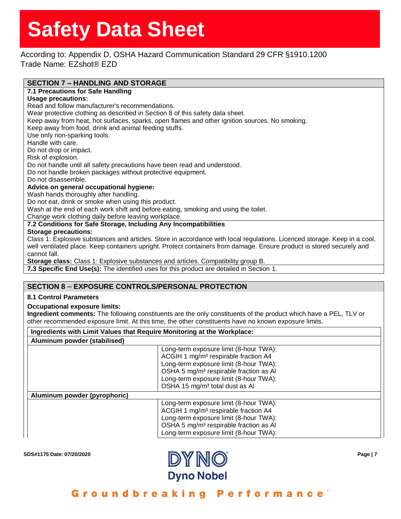According to: Appendix D, OSHA Hazard Communication Standard 29 CFR §1910.1200 Trade Name: EZshot® EZD

## **SECTION 7 – HANDLING AND STORAGE**

## **7.1 Precautions for Safe Handling**

#### **Usage precautions:**

Read and follow manufacturer's recommendations.

Wear protective clothing as described in Section 8 of this safety data sheet.

Keep away from heat, hot surfaces, sparks, open flames and other ignition sources. No smoking.

Keep away from food, drink and animal feeding stuffs.

Use only non-sparking tools.

Handle with care.

Do not drop or impact.

Risk of explosion.

Do not handle until all safety precautions have been read and understood.

Do not handle broken packages without protective equipment.

Do not disassemble.

### **Advice on general occupational hygiene:**

Wash hands thoroughly after handling.

Do not eat, drink or smoke when using this product.

Wash at the end of each work shift and before eating, smoking and using the toilet.

Change work clothing daily before leaving workplace.

## **7.2 Conditions for Safe Storage, Including Any Incompatibilities**

#### **Storage precautions:**

Class 1: Explosive substances and articles. Store in accordance with local regulations. Licenced storage. Keep in a cool, well ventilated place. Keep containers upright. Protect containers from damage. Ensure product is stored securely and cannot fall.

**Storage class:** Class 1: Explosive substances and articles. Compatibility group B.

**7.3 Specific End Use(s):** The identified uses for this product are detailed in Section 1.

## **SECTION 8** – **EXPOSURE CONTROLS/PERSONAL PROTECTION**

### **8.1 Control Parameters**

### **Occupational exposure limits:**

**Ingredient comments:** The following constituents are the only constituents of the product which have a PEL, TLV or other recommended exposure limit. At this time, the other constituents have no known exposure limits.

| Ingredients with Limit Values that Require Monitoring at the Workplace: |                                                                                                                                                                                                                                                                                    |  |  |
|-------------------------------------------------------------------------|------------------------------------------------------------------------------------------------------------------------------------------------------------------------------------------------------------------------------------------------------------------------------------|--|--|
| Aluminum powder (stabilised)                                            |                                                                                                                                                                                                                                                                                    |  |  |
|                                                                         | Long-term exposure limit (8-hour TWA):<br>ACGIH 1 mg/m <sup>3</sup> respirable fraction A4<br>Long-term exposure limit (8-hour TWA):<br>OSHA 5 mg/m <sup>3</sup> respirable fraction as Al<br>Long-term exposure limit (8-hour TWA):<br>OSHA 15 mg/m <sup>3</sup> total dust as Al |  |  |
| Aluminum powder (pyrophoric)                                            |                                                                                                                                                                                                                                                                                    |  |  |
|                                                                         | Long-term exposure limit (8-hour TWA):<br>ACGIH 1 mg/m <sup>3</sup> respirable fraction A4<br>Long-term exposure limit (8-hour TWA):<br>OSHA 5 mg/m <sup>3</sup> respirable fraction as Al<br>Long-term exposure limit (8-hour TWA):                                               |  |  |

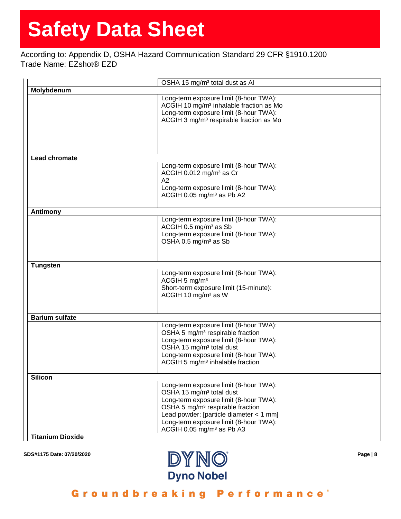## According to: Appendix D, OSHA Hazard Communication Standard 29 CFR §1910.1200 Trade Name: EZshot® EZD

|                         | OSHA 15 mg/m <sup>3</sup> total dust as Al                                                    |
|-------------------------|-----------------------------------------------------------------------------------------------|
| Molybdenum              |                                                                                               |
|                         | Long-term exposure limit (8-hour TWA):<br>ACGIH 10 mg/m <sup>3</sup> inhalable fraction as Mo |
|                         | Long-term exposure limit (8-hour TWA):                                                        |
|                         | ACGIH 3 mg/m <sup>3</sup> respirable fraction as Mo                                           |
|                         |                                                                                               |
|                         |                                                                                               |
|                         |                                                                                               |
| <b>Lead chromate</b>    |                                                                                               |
|                         | Long-term exposure limit (8-hour TWA):                                                        |
|                         | ACGIH 0.012 mg/m <sup>3</sup> as Cr                                                           |
|                         | A2                                                                                            |
|                         | Long-term exposure limit (8-hour TWA):                                                        |
|                         | ACGIH 0.05 mg/m <sup>3</sup> as Pb A2                                                         |
|                         |                                                                                               |
| Antimony                |                                                                                               |
|                         | Long-term exposure limit (8-hour TWA):                                                        |
|                         | ACGIH 0.5 mg/m <sup>3</sup> as Sb                                                             |
|                         | Long-term exposure limit (8-hour TWA):                                                        |
|                         | OSHA 0.5 mg/m <sup>3</sup> as Sb                                                              |
|                         |                                                                                               |
| <b>Tungsten</b>         |                                                                                               |
|                         | Long-term exposure limit (8-hour TWA):                                                        |
|                         | ACGIH 5 mg/m <sup>3</sup>                                                                     |
|                         | Short-term exposure limit (15-minute):                                                        |
|                         | ACGIH 10 mg/m <sup>3</sup> as W                                                               |
|                         |                                                                                               |
| <b>Barium sulfate</b>   |                                                                                               |
|                         | Long-term exposure limit (8-hour TWA):                                                        |
|                         | OSHA 5 mg/m <sup>3</sup> respirable fraction                                                  |
|                         | Long-term exposure limit (8-hour TWA):                                                        |
|                         | OSHA 15 mg/m <sup>3</sup> total dust                                                          |
|                         | Long-term exposure limit (8-hour TWA):                                                        |
|                         | ACGIH 5 mg/m <sup>3</sup> inhalable fraction                                                  |
|                         |                                                                                               |
| <b>Silicon</b>          |                                                                                               |
|                         | Long-term exposure limit (8-hour TWA):                                                        |
|                         | OSHA 15 mg/m <sup>3</sup> total dust                                                          |
|                         | Long-term exposure limit (8-hour TWA):                                                        |
|                         | OSHA 5 mg/m <sup>3</sup> respirable fraction                                                  |
|                         | Lead powder; [particle diameter $<$ 1 mm]                                                     |
|                         | Long-term exposure limit (8-hour TWA):                                                        |
|                         | ACGIH 0.05 mg/m <sup>3</sup> as Pb A3                                                         |
| <b>Titanium Dioxide</b> |                                                                                               |

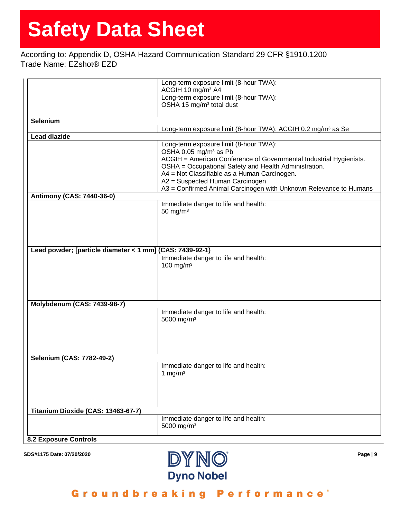## According to: Appendix D, OSHA Hazard Communication Standard 29 CFR §1910.1200 Trade Name: EZshot® EZD

|                                                          | Long-term exposure limit (8-hour TWA):                                   |  |
|----------------------------------------------------------|--------------------------------------------------------------------------|--|
|                                                          | ACGIH 10 mg/m <sup>3</sup> A4                                            |  |
|                                                          | Long-term exposure limit (8-hour TWA):                                   |  |
|                                                          | OSHA 15 mg/m <sup>3</sup> total dust                                     |  |
|                                                          |                                                                          |  |
|                                                          |                                                                          |  |
| Selenium                                                 |                                                                          |  |
|                                                          | Long-term exposure limit (8-hour TWA): ACGIH 0.2 mg/m <sup>3</sup> as Se |  |
| <b>Lead diazide</b>                                      |                                                                          |  |
|                                                          | Long-term exposure limit (8-hour TWA):                                   |  |
|                                                          | OSHA 0.05 mg/m <sup>3</sup> as Pb                                        |  |
|                                                          | ACGIH = American Conference of Governmental Industrial Hygienists.       |  |
|                                                          | OSHA = Occupational Safety and Health Administration.                    |  |
|                                                          | A4 = Not Classifiable as a Human Carcinogen.                             |  |
|                                                          | A2 = Suspected Human Carcinogen                                          |  |
|                                                          | A3 = Confirmed Animal Carcinogen with Unknown Relevance to Humans        |  |
| <b>Antimony (CAS: 7440-36-0)</b>                         |                                                                          |  |
|                                                          |                                                                          |  |
|                                                          | Immediate danger to life and health:                                     |  |
|                                                          | 50 mg/ $m3$                                                              |  |
|                                                          |                                                                          |  |
|                                                          |                                                                          |  |
|                                                          |                                                                          |  |
|                                                          |                                                                          |  |
| Lead powder; [particle diameter < 1 mm] (CAS: 7439-92-1) |                                                                          |  |
|                                                          | Immediate danger to life and health:                                     |  |
|                                                          | 100 mg/m $3$                                                             |  |
|                                                          |                                                                          |  |
|                                                          |                                                                          |  |
|                                                          |                                                                          |  |
|                                                          |                                                                          |  |
|                                                          |                                                                          |  |
| <b>Molybdenum (CAS: 7439-98-7)</b>                       |                                                                          |  |
|                                                          | Immediate danger to life and health:                                     |  |
|                                                          | 5000 mg/m <sup>3</sup>                                                   |  |
|                                                          |                                                                          |  |
|                                                          |                                                                          |  |
|                                                          |                                                                          |  |
|                                                          |                                                                          |  |
|                                                          |                                                                          |  |
| Selenium (CAS: 7782-49-2)                                |                                                                          |  |
|                                                          | Immediate danger to life and health:                                     |  |
|                                                          | 1 mg/ $m3$                                                               |  |
|                                                          |                                                                          |  |
|                                                          |                                                                          |  |
|                                                          |                                                                          |  |
|                                                          |                                                                          |  |
|                                                          |                                                                          |  |
| Titanium Dioxide (CAS: 13463-67-7)                       |                                                                          |  |
|                                                          | Immediate danger to life and health:                                     |  |
|                                                          | 5000 mg/m <sup>3</sup>                                                   |  |
|                                                          |                                                                          |  |
| <b>8.2 Exposure Controls</b>                             |                                                                          |  |
|                                                          |                                                                          |  |

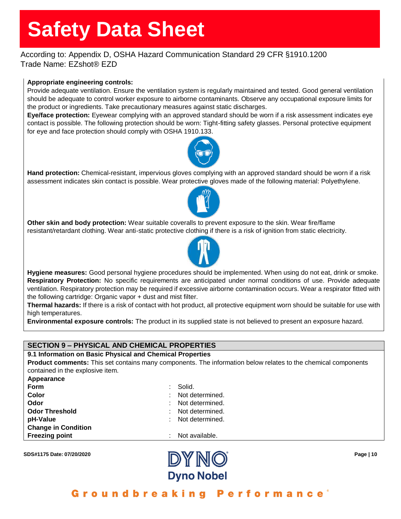## According to: Appendix D, OSHA Hazard Communication Standard 29 CFR §1910.1200 Trade Name: EZshot® EZD

## **Appropriate engineering controls:**

Provide adequate ventilation. Ensure the ventilation system is regularly maintained and tested. Good general ventilation should be adequate to control worker exposure to airborne contaminants. Observe any occupational exposure limits for the product or ingredients. Take precautionary measures against static discharges.

**Eye/face protection:** Eyewear complying with an approved standard should be worn if a risk assessment indicates eye contact is possible. The following protection should be worn: Tight-fitting safety glasses. Personal protective equipment for eye and face protection should comply with OSHA 1910.133.



**Hand protection:** Chemical-resistant, impervious gloves complying with an approved standard should be worn if a risk assessment indicates skin contact is possible. Wear protective gloves made of the following material: Polyethylene.



**Other skin and body protection:** Wear suitable coveralls to prevent exposure to the skin. Wear fire/flame resistant/retardant clothing. Wear anti-static protective clothing if there is a risk of ignition from static electricity.



**Hygiene measures:** Good personal hygiene procedures should be implemented. When using do not eat, drink or smoke. **Respiratory Protection:** No specific requirements are anticipated under normal conditions of use. Provide adequate ventilation. Respiratory protection may be required if excessive airborne contamination occurs. Wear a respirator fitted with the following cartridge: Organic vapor + dust and mist filter.

**Thermal hazards:** If there is a risk of contact with hot product, all protective equipment worn should be suitable for use with high temperatures.

**Environmental exposure controls:** The product in its supplied state is not believed to present an exposure hazard.

## **SECTION 9 – PHYSICAL AND CHEMICAL PROPERTIES**

### **9.1 Information on Basic Physical and Chemical Properties**

**Product comments:** This set contains many components. The information below relates to the chemical components contained in the explosive item.

**Appearance**

| Form                       | Solid.            |
|----------------------------|-------------------|
| <b>Color</b>               | Not determined.   |
| Odor                       | Not determined.   |
| <b>Odor Threshold</b>      | Not determined.   |
| pH-Value                   | : Not determined. |
| <b>Change in Condition</b> |                   |
| <b>Freezing point</b>      | : Not available.  |

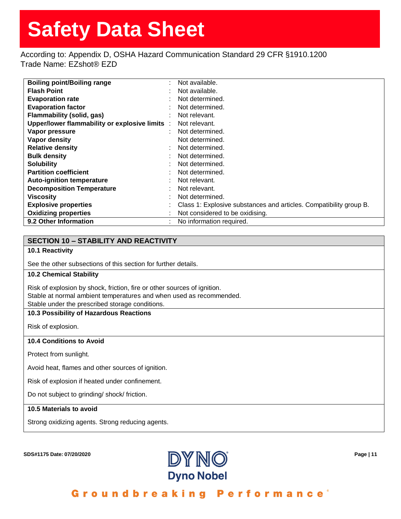According to: Appendix D, OSHA Hazard Communication Standard 29 CFR §1910.1200 Trade Name: EZshot® EZD

| <b>Boiling point/Boiling range</b>             | Not available.                                                     |
|------------------------------------------------|--------------------------------------------------------------------|
| <b>Flash Point</b>                             | Not available.                                                     |
| <b>Evaporation rate</b>                        | Not determined.                                                    |
| <b>Evaporation factor</b>                      | Not determined.                                                    |
| Flammability (solid, gas)                      | Not relevant.                                                      |
| Upper/lower flammability or explosive limits : | Not relevant.                                                      |
| Vapor pressure                                 | Not determined.                                                    |
| Vapor density                                  | Not determined.                                                    |
| <b>Relative density</b>                        | Not determined.                                                    |
| <b>Bulk density</b>                            | Not determined.                                                    |
| <b>Solubility</b>                              | Not determined.                                                    |
| <b>Partition coefficient</b>                   | Not determined.                                                    |
| <b>Auto-ignition temperature</b>               | Not relevant.                                                      |
| <b>Decomposition Temperature</b>               | Not relevant.                                                      |
| <b>Viscosity</b>                               | Not determined.                                                    |
| <b>Explosive properties</b>                    | Class 1: Explosive substances and articles. Compatibility group B. |
| <b>Oxidizing properties</b>                    | Not considered to be oxidising.                                    |
| 9.2 Other Information                          | No information required.                                           |

## **SECTION 10 – STABILITY AND REACTIVITY**

### **10.1 Reactivity**

See the other subsections of this section for further details.

## **10.2 Chemical Stability**

Risk of explosion by shock, friction, fire or other sources of ignition. Stable at normal ambient temperatures and when used as recommended. Stable under the prescribed storage conditions.

#### **10.3 Possibility of Hazardous Reactions**

Risk of explosion.

#### **10.4 Conditions to Avoid**

Protect from sunlight.

Avoid heat, flames and other sources of ignition.

Risk of explosion if heated under confinement.

Do not subject to grinding/ shock/ friction.

### **10.5 Materials to avoid**

Strong oxidizing agents. Strong reducing agents.

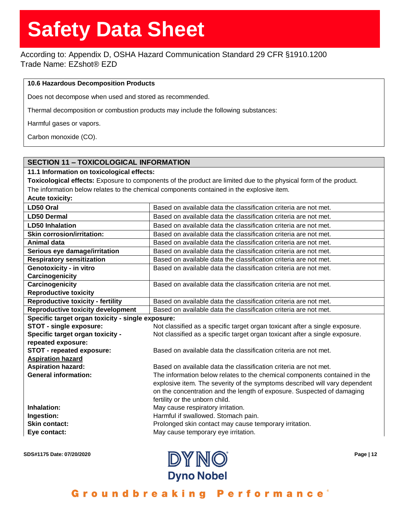According to: Appendix D, OSHA Hazard Communication Standard 29 CFR §1910.1200 Trade Name: EZshot® EZD

### **10.6 Hazardous Decomposition Products**

Does not decompose when used and stored as recommended.

Thermal decomposition or combustion products may include the following substances:

Harmful gases or vapors.

Carbon monoxide (CO).

## **SECTION 11 – TOXICOLOGICAL INFORMATION**

#### **11.1 Information on toxicological effects:**

**Toxicological effects:** Exposure to components of the product are limited due to the physical form of the product. The information below relates to the chemical components contained in the explosive item.

**Acute toxicity:** 

| LD50 Oral                                         | Based on available data the classification criteria are not met.                                                                                        |
|---------------------------------------------------|---------------------------------------------------------------------------------------------------------------------------------------------------------|
| <b>LD50 Dermal</b>                                | Based on available data the classification criteria are not met.                                                                                        |
| <b>LD50 Inhalation</b>                            | Based on available data the classification criteria are not met.                                                                                        |
| <b>Skin corrosion/irritation:</b>                 | Based on available data the classification criteria are not met.                                                                                        |
| <b>Animal data</b>                                | Based on available data the classification criteria are not met.                                                                                        |
| Serious eye damage/irritation                     | Based on available data the classification criteria are not met.                                                                                        |
| <b>Respiratory sensitization</b>                  | Based on available data the classification criteria are not met.                                                                                        |
| Genotoxicity - in vitro                           | Based on available data the classification criteria are not met.                                                                                        |
| Carcinogenicity                                   |                                                                                                                                                         |
| Carcinogenicity                                   | Based on available data the classification criteria are not met.                                                                                        |
| <b>Reproductive toxicity</b>                      |                                                                                                                                                         |
| <b>Reproductive toxicity - fertility</b>          | Based on available data the classification criteria are not met.                                                                                        |
| <b>Reproductive toxicity development</b>          | Based on available data the classification criteria are not met.                                                                                        |
| Specific target organ toxicity - single exposure: |                                                                                                                                                         |
| STOT - single exposure:                           | Not classified as a specific target organ toxicant after a single exposure.                                                                             |
| Specific target organ toxicity -                  | Not classified as a specific target organ toxicant after a single exposure.                                                                             |
| repeated exposure:                                |                                                                                                                                                         |
| STOT - repeated exposure:                         | Based on available data the classification criteria are not met.                                                                                        |
| <b>Aspiration hazard</b>                          |                                                                                                                                                         |
| <b>Aspiration hazard:</b>                         | Based on available data the classification criteria are not met.                                                                                        |
| <b>General information:</b>                       | The information below relates to the chemical components contained in the<br>explosive item. The severity of the symptoms described will vary dependent |
|                                                   | on the concentration and the length of exposure. Suspected of damaging                                                                                  |
|                                                   | fertility or the unborn child.                                                                                                                          |
| Inhalation:                                       | May cause respiratory irritation.                                                                                                                       |
| Ingestion:                                        | Harmful if swallowed. Stomach pain.                                                                                                                     |
| <b>Skin contact:</b>                              | Prolonged skin contact may cause temporary irritation.                                                                                                  |
| Eye contact:                                      | May cause temporary eye irritation.                                                                                                                     |
|                                                   |                                                                                                                                                         |

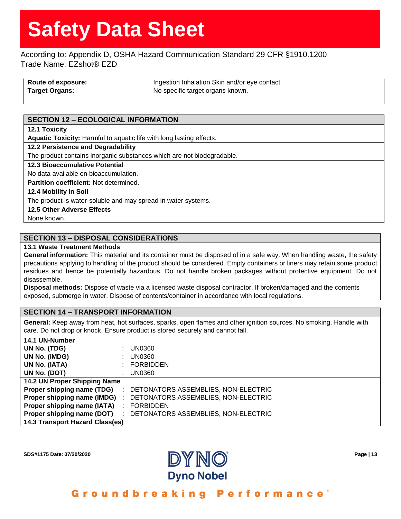According to: Appendix D, OSHA Hazard Communication Standard 29 CFR §1910.1200 Trade Name: EZshot® EZD

| Route of exposure:    | Ingestion Inhalation Skin and/or eye contact |
|-----------------------|----------------------------------------------|
| <b>Target Organs:</b> | No specific target organs known.             |

## **SECTION 12 – ECOLOGICAL INFORMATION**

**12.1 Toxicity**

**Aquatic Toxicity:** Harmful to aquatic life with long lasting effects.

**12.2 Persistence and Degradability**

The product contains inorganic substances which are not biodegradable.

#### **12.3 Bioaccumulative Potential**

No data available on bioaccumulation.

**Partition coefficient:** Not determined.

**12.4 Mobility in Soil**

The product is water-soluble and may spread in water systems.

## **12.5 Other Adverse Effects**

None known.

**14.1 UN-Number**

## **SECTION 13 – DISPOSAL CONSIDERATIONS**

### **13.1 Waste Treatment Methods**

**General information:** This material and its container must be disposed of in a safe way. When handling waste, the safety precautions applying to handling of the product should be considered. Empty containers or liners may retain some product residues and hence be potentially hazardous. Do not handle broken packages without protective equipment. Do not disassemble.

**Disposal methods:** Dispose of waste via a licensed waste disposal contractor. If broken/damaged and the contents exposed, submerge in water. Dispose of contents/container in accordance with local regulations.

### **SECTION 14 – TRANSPORT INFORMATION**

**General:** Keep away from heat, hot surfaces, sparks, open flames and other ignition sources. No smoking. Handle with care. Do not drop or knock. Ensure product is stored securely and cannot fall.

| 14.1 UN-Number                   |                                     |
|----------------------------------|-------------------------------------|
| UN No. (TDG)                     | UN0360                              |
| UN No. (IMDG)                    | <b>UN0360</b>                       |
| UN No. (IATA)                    | <b>FORBIDDEN</b>                    |
| UN No. (DOT)                     | UN0360                              |
| 14.2 UN Proper Shipping Name     |                                     |
| Proper shipping name (TDG)       | DETONATORS ASSEMBLIES, NON-ELECTRIC |
| Proper shipping name (IMDG)<br>÷ | DETONATORS ASSEMBLIES, NON-ELECTRIC |
| Proper shipping name (IATA)      | <b>FORBIDDEN</b>                    |
| Proper shipping name (DOT)       | DETONATORS ASSEMBLIES, NON-ELECTRIC |
| 14.3 Transport Hazard Class(es)  |                                     |
|                                  |                                     |

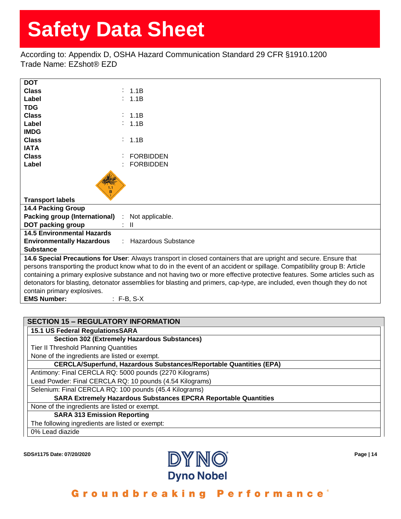According to: Appendix D, OSHA Hazard Communication Standard 29 CFR §1910.1200 Trade Name: EZshot® EZD

| <b>DOT</b>                                                                                                               |                                                   |  |
|--------------------------------------------------------------------------------------------------------------------------|---------------------------------------------------|--|
| <b>Class</b>                                                                                                             | : 1.1B                                            |  |
| Label                                                                                                                    | : 1.1B                                            |  |
| <b>TDG</b>                                                                                                               |                                                   |  |
| <b>Class</b>                                                                                                             | $\therefore$ 1.1B                                 |  |
| Label                                                                                                                    | : 1.1B                                            |  |
| <b>IMDG</b>                                                                                                              |                                                   |  |
| <b>Class</b>                                                                                                             | : 1.1B                                            |  |
| <b>IATA</b>                                                                                                              |                                                   |  |
| <b>Class</b>                                                                                                             | <b>FORBIDDEN</b>                                  |  |
| Label                                                                                                                    | <b>FORBIDDEN</b>                                  |  |
| $\frac{1.1}{\mathsf{B}}$<br><b>Transport labels</b>                                                                      |                                                   |  |
| <b>14.4 Packing Group</b>                                                                                                |                                                   |  |
| Packing group (International) : Not applicable.                                                                          |                                                   |  |
| DOT packing group                                                                                                        | $\mathbf{I}$                                      |  |
| <b>14.5 Environmental Hazards</b>                                                                                        |                                                   |  |
| <b>Environmentally Hazardous</b>                                                                                         | <b>Hazardous Substance</b><br>$\sigma_{\rm{eff}}$ |  |
| <b>Substance</b>                                                                                                         |                                                   |  |
| 14.6 Special Precautions for User: Always transport in closed containers that are upright and secure. Ensure that        |                                                   |  |
| persons transporting the product know what to do in the event of an accident or spillage. Compatibility group B: Article |                                                   |  |
| containing a primary explosive substance and not having two or more effective protective features. Some articles such as |                                                   |  |
| detonators for blasting, detonator assemblies for blasting and primers, cap-type, are included, even though they do not  |                                                   |  |
| contain primary explosives.                                                                                              |                                                   |  |
| <b>EMS Number:</b>                                                                                                       | $: F-B, S-X$                                      |  |

## **SECTION 15 – REGULATORY INFORMATION**

**15.1 US Federal RegulationsSARA**

## **Section 302 (Extremely Hazardous Substances)**

Tier II Threshold Planning Quantities

None of the ingredients are listed or exempt.

**CERCLA/Superfund, Hazardous Substances/Reportable Quantities (EPA)**

Antimony: Final CERCLA RQ: 5000 pounds (2270 Kilograms)

Lead Powder: Final CERCLA RQ: 10 pounds (4.54 Kilograms)

Selenium: Final CERCLA RQ: 100 pounds (45.4 Kilograms)

**SARA Extremely Hazardous Substances EPCRA Reportable Quantities**

None of the ingredients are listed or exempt.

**SARA 313 Emission Reporting**

The following ingredients are listed or exempt:

0% Lead diazide

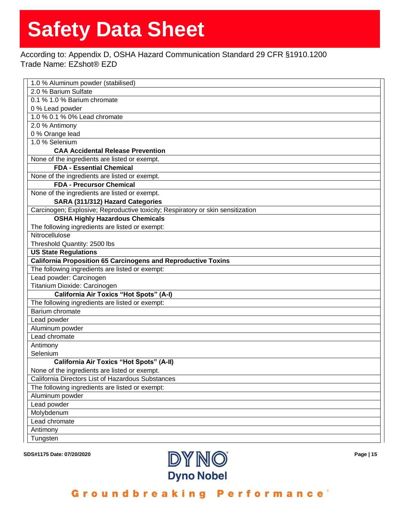## According to: Appendix D, OSHA Hazard Communication Standard 29 CFR §1910.1200 Trade Name: EZshot® EZD

| 1.0 % Aluminum powder (stabilised)                                              |
|---------------------------------------------------------------------------------|
| 2.0 % Barium Sulfate                                                            |
| 0.1 % 1.0 % Barium chromate                                                     |
| 0 % Lead powder                                                                 |
| 1.0 % 0.1 % 0% Lead chromate                                                    |
| 2.0 % Antimony                                                                  |
| 0 % Orange lead                                                                 |
| 1.0 % Selenium                                                                  |
| <b>CAA Accidental Release Prevention</b>                                        |
| None of the ingredients are listed or exempt.                                   |
| <b>FDA - Essential Chemical</b>                                                 |
| None of the ingredients are listed or exempt.                                   |
| <b>FDA - Precursor Chemical</b>                                                 |
| None of the ingredients are listed or exempt.                                   |
| SARA (311/312) Hazard Categories                                                |
| Carcinogen; Explosive; Reproductive toxicity; Respiratory or skin sensitization |
| <b>OSHA Highly Hazardous Chemicals</b>                                          |
| The following ingredients are listed or exempt:                                 |
| Nitrocellulose                                                                  |
| Threshold Quantity: 2500 lbs                                                    |
| <b>US State Regulations</b>                                                     |
| <b>California Proposition 65 Carcinogens and Reproductive Toxins</b>            |
| The following ingredients are listed or exempt:                                 |
| Lead powder: Carcinogen                                                         |
| Titanium Dioxide: Carcinogen                                                    |
| <b>California Air Toxics "Hot Spots" (A-I)</b>                                  |
| The following ingredients are listed or exempt:                                 |
| Barium chromate                                                                 |
| Lead powder                                                                     |
| Aluminum powder                                                                 |
| Lead chromate                                                                   |
| Antimony                                                                        |
| Selenium                                                                        |
| <b>California Air Toxics "Hot Spots" (A-II)</b>                                 |
| None of the ingredients are listed or exempt.                                   |
| California Directors List of Hazardous Substances                               |
| The following ingredients are listed or exempt:                                 |
| Aluminum powder                                                                 |
| Lead powder                                                                     |
| Molybdenum                                                                      |
| Lead chromate                                                                   |
| Antimony                                                                        |
| Tungsten                                                                        |
|                                                                                 |

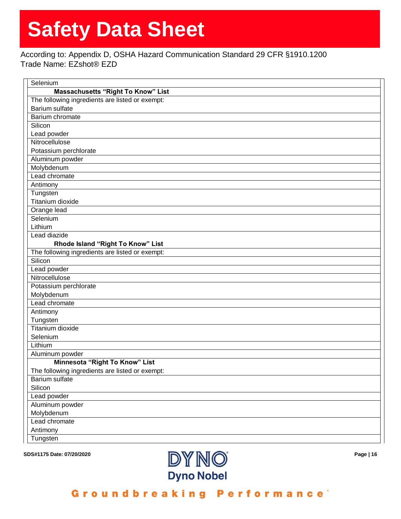According to: Appendix D, OSHA Hazard Communication Standard 29 CFR §1910.1200 Trade Name: EZshot® EZD

| <b>Massachusetts "Right To Know" List</b><br>The following ingredients are listed or exempt: |
|----------------------------------------------------------------------------------------------|
|                                                                                              |
|                                                                                              |
| <b>Barium sulfate</b>                                                                        |
| Barium chromate                                                                              |
| Silicon                                                                                      |
| Lead powder                                                                                  |
| Nitrocellulose                                                                               |
| Potassium perchlorate                                                                        |
| Aluminum powder                                                                              |
| Molybdenum                                                                                   |
| Lead chromate                                                                                |
| Antimony                                                                                     |
| Tungsten                                                                                     |
| Titanium dioxide                                                                             |
| Orange lead                                                                                  |
| Selenium                                                                                     |
| Lithium                                                                                      |
| Lead diazide                                                                                 |
| Rhode Island "Right To Know" List                                                            |
| The following ingredients are listed or exempt:                                              |
| Silicon                                                                                      |
| Lead powder                                                                                  |
| Nitrocellulose                                                                               |
| Potassium perchlorate                                                                        |
| Molybdenum                                                                                   |
| Lead chromate                                                                                |
| Antimony                                                                                     |
| Tungsten                                                                                     |
| <b>Titanium dioxide</b>                                                                      |
| Selenium                                                                                     |
| Lithium                                                                                      |
| Aluminum powder                                                                              |
| Minnesota "Right To Know" List                                                               |
| The following ingredients are listed or exempt:                                              |
| Barium sulfate                                                                               |
| Silicon                                                                                      |
| Lead powder                                                                                  |
| Aluminum powder                                                                              |
| Molybdenum                                                                                   |
| Lead chromate                                                                                |
| Antimony                                                                                     |
| Tungsten                                                                                     |

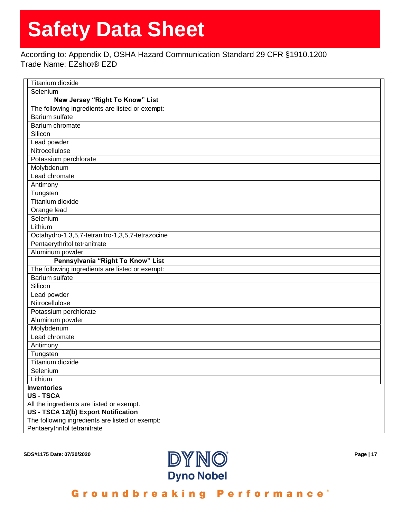According to: Appendix D, OSHA Hazard Communication Standard 29 CFR §1910.1200 Trade Name: EZshot® EZD

| Titanium dioxide                                                                |
|---------------------------------------------------------------------------------|
| Selenium                                                                        |
| New Jersey "Right To Know" List                                                 |
| The following ingredients are listed or exempt:                                 |
| <b>Barium sulfate</b>                                                           |
| Barium chromate                                                                 |
| Silicon                                                                         |
| Lead powder                                                                     |
| Nitrocellulose                                                                  |
| Potassium perchlorate                                                           |
| Molybdenum                                                                      |
| Lead chromate                                                                   |
| Antimony                                                                        |
| Tungsten                                                                        |
| Titanium dioxide                                                                |
| Orange lead                                                                     |
| Selenium                                                                        |
| Lithium                                                                         |
| Octahydro-1,3,5,7-tetranitro-1,3,5,7-tetrazocine                                |
| Pentaerythritol tetranitrate                                                    |
| Aluminum powder                                                                 |
| Pennsylvania "Right To Know" List                                               |
| The following ingredients are listed or exempt:                                 |
| <b>Barium sulfate</b>                                                           |
| Silicon                                                                         |
| Lead powder                                                                     |
| Nitrocellulose                                                                  |
| Potassium perchlorate                                                           |
| Aluminum powder                                                                 |
| Molybdenum                                                                      |
| Lead chromate                                                                   |
|                                                                                 |
| Antimony                                                                        |
| Tungsten                                                                        |
| Titanium dioxide                                                                |
| Selenium                                                                        |
| Lithium                                                                         |
| <b>Inventories</b>                                                              |
| <b>US-TSCA</b>                                                                  |
| All the ingredients are listed or exempt.                                       |
| US - TSCA 12(b) Export Notification                                             |
| The following ingredients are listed or exempt:<br>Pentaerythritol tetranitrate |

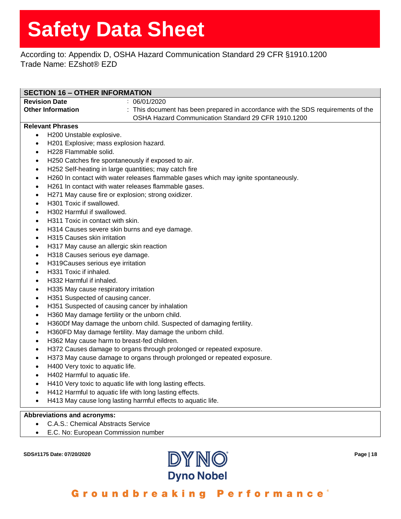## According to: Appendix D, OSHA Hazard Communication Standard 29 CFR §1910.1200 Trade Name: EZshot® EZD

| <b>SECTION 16 - OTHER INFORMATION</b>                                                                                    |                                                                                     |  |
|--------------------------------------------------------------------------------------------------------------------------|-------------------------------------------------------------------------------------|--|
| <b>Revision Date</b>                                                                                                     | : 06/01/2020                                                                        |  |
| <b>Other Information</b>                                                                                                 | : This document has been prepared in accordance with the SDS requirements of the    |  |
|                                                                                                                          | OSHA Hazard Communication Standard 29 CFR 1910.1200                                 |  |
| <b>Relevant Phrases</b>                                                                                                  |                                                                                     |  |
| H200 Unstable explosive.<br>$\bullet$                                                                                    |                                                                                     |  |
| H201 Explosive; mass explosion hazard.<br>$\bullet$                                                                      |                                                                                     |  |
| H228 Flammable solid.<br>$\bullet$                                                                                       |                                                                                     |  |
| ٠                                                                                                                        |                                                                                     |  |
| H250 Catches fire spontaneously if exposed to air.<br>H252 Self-heating in large quantities; may catch fire<br>$\bullet$ |                                                                                     |  |
| ٠                                                                                                                        | H260 In contact with water releases flammable gases which may ignite spontaneously. |  |
| ٠                                                                                                                        | H261 In contact with water releases flammable gases.                                |  |
| H271 May cause fire or explosion; strong oxidizer.<br>$\bullet$                                                          |                                                                                     |  |
| H301 Toxic if swallowed.<br>$\bullet$                                                                                    |                                                                                     |  |
| H302 Harmful if swallowed.<br>$\bullet$                                                                                  |                                                                                     |  |
| H311 Toxic in contact with skin.<br>٠                                                                                    |                                                                                     |  |
| H314 Causes severe skin burns and eye damage.<br>$\bullet$                                                               |                                                                                     |  |
| H315 Causes skin irritation<br>$\bullet$                                                                                 |                                                                                     |  |
| H317 May cause an allergic skin reaction<br>٠                                                                            |                                                                                     |  |
| H318 Causes serious eye damage.<br>٠                                                                                     |                                                                                     |  |
| H319Causes serious eye irritation<br>٠                                                                                   |                                                                                     |  |
| H331 Toxic if inhaled.<br>$\bullet$                                                                                      |                                                                                     |  |
| H332 Harmful if inhaled.<br>$\bullet$                                                                                    |                                                                                     |  |
| H335 May cause respiratory irritation<br>$\bullet$                                                                       |                                                                                     |  |
| H351 Suspected of causing cancer.<br>٠                                                                                   |                                                                                     |  |
| H351 Suspected of causing cancer by inhalation<br>٠                                                                      |                                                                                     |  |
| H360 May damage fertility or the unborn child.<br>$\bullet$                                                              |                                                                                     |  |
| H360Df May damage the unborn child. Suspected of damaging fertility.<br>$\bullet$                                        |                                                                                     |  |
| H360FD May damage fertility. May damage the unborn child.<br>$\bullet$                                                   |                                                                                     |  |
| H362 May cause harm to breast-fed children.<br>$\bullet$                                                                 |                                                                                     |  |
| H372 Causes damage to organs through prolonged or repeated exposure.<br>٠                                                |                                                                                     |  |
| H373 May cause damage to organs through prolonged or repeated exposure.<br>٠                                             |                                                                                     |  |
| H400 Very toxic to aquatic life.<br>٠                                                                                    |                                                                                     |  |
| H402 Harmful to aquatic life                                                                                             |                                                                                     |  |
| H410 Very toxic to aquatic life with long lasting effects.<br>$\bullet$                                                  |                                                                                     |  |
| $\bullet$                                                                                                                | H412 Harmful to aquatic life with long lasting effects.                             |  |
|                                                                                                                          | H413 May cause long lasting harmful effects to aquatic life.                        |  |
| <b>Abbreviations and acronyms:</b>                                                                                       |                                                                                     |  |
| <b>C.A.S.: Chemical Abstracts Service</b><br>$\bullet$                                                                   |                                                                                     |  |
| E.C. No: European Commission number                                                                                      |                                                                                     |  |
|                                                                                                                          |                                                                                     |  |

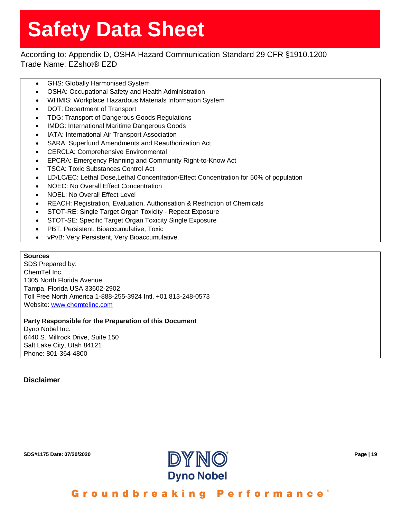## According to: Appendix D, OSHA Hazard Communication Standard 29 CFR §1910.1200 Trade Name: EZshot® EZD

- GHS: Globally Harmonised System
- OSHA: Occupational Safety and Health Administration
- WHMIS: Workplace Hazardous Materials Information System
- DOT: Department of Transport
- TDG: Transport of Dangerous Goods Regulations
- IMDG: International Maritime Dangerous Goods
- IATA: International Air Transport Association
- SARA: Superfund Amendments and Reauthorization Act
- CERCLA: Comprehensive Environmental
- EPCRA: Emergency Planning and Community Right-to-Know Act
- TSCA: Toxic Substances Control Act
- LD/LC/EC: Lethal Dose,Lethal Concentration/Effect Concentration for 50% of population
- NOEC: No Overall Effect Concentration
- NOEL: No Overall Effect Level
- REACH: Registration, Evaluation, Authorisation & Restriction of Chemicals
- STOT-RE: Single Target Organ Toxicity Repeat Exposure
- STOT-SE: Specific Target Organ Toxicity Single Exposure
- PBT: Persistent, Bioaccumulative, Toxic
- vPvB: Very Persistent, Very Bioaccumulative.

### **Sources**

SDS Prepared by: ChemTel Inc. 1305 North Florida Avenue Tampa, Florida USA 33602-2902 Toll Free North America 1-888-255-3924 Intl. +01 813-248-0573 Website: [www.chemtelinc.com](http://www.chemtelinc.com/)

#### **Party Responsible for the Preparation of this Document** Dyno Nobel Inc. 6440 S. Millrock Drive, Suite 150 Salt Lake City, Utah 84121 Phone: 801-364-4800

## **Disclaimer**

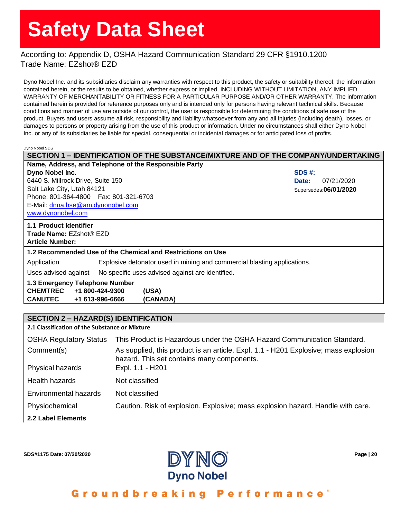## According to: Appendix D, OSHA Hazard Communication Standard 29 CFR §1910.1200 Trade Name: EZshot® EZD

Dyno Nobel Inc. and its subsidiaries disclaim any warranties with respect to this product, the safety or suitability thereof, the information contained herein, or the results to be obtained, whether express or implied, INCLUDING WITHOUT LIMITATION, ANY IMPLIED WARRANTY OF MERCHANTABILITY OR FITNESS FOR A PARTICULAR PURPOSE AND/OR OTHER WARRANTY. The information contained herein is provided for reference purposes only and is intended only for persons having relevant technical skills. Because conditions and manner of use are outside of our control, the user is responsible for determining the conditions of safe use of the product. Buyers and users assume all risk, responsibility and liability whatsoever from any and all injuries (including death), losses, or damages to persons or property arising from the use of this product or information. Under no circumstances shall either Dyno Nobel Inc. or any of its subsidiaries be liable for special, consequential or incidental damages or for anticipated loss of profits.

Dyno Nobel SDS

<span id="page-20-0"></span>

| SECTION 1 - IDENTIFICATION OF THE SUBSTANCE/MIXTURE AND OF THE COMPANY/UNDERTAKING      |                        |  |
|-----------------------------------------------------------------------------------------|------------------------|--|
| Name, Address, and Telephone of the Responsible Party                                   |                        |  |
| Dyno Nobel Inc.                                                                         | SDS #:                 |  |
| 6440 S. Millrock Drive, Suite 150                                                       | 07/21/2020<br>Date:    |  |
| Salt Lake City, Utah 84121                                                              | Supersedes: 06/01/2020 |  |
| Phone: 801-364-4800   Fax: 801-321-6703                                                 |                        |  |
| E-Mail: dnna.hse@am.dynonobel.com                                                       |                        |  |
| www.dynonobel.com                                                                       |                        |  |
| 1.1 Product Identifier                                                                  |                        |  |
| <b>Trade Name: EZshot® EZD</b>                                                          |                        |  |
| <b>Article Number:</b>                                                                  |                        |  |
| 1.2 Recommended Use of the Chemical and Restrictions on Use                             |                        |  |
| Explosive detonator used in mining and commercial blasting applications.<br>Application |                        |  |
| Uses advised against<br>No specific uses advised against are identified.                |                        |  |
| 1.3 Emergency Telephone Number                                                          |                        |  |
| <b>CHEMTREC</b><br>+1 800-424-9300<br>(USA)                                             |                        |  |
| <b>CANUTEC</b><br>+1 613-996-6666<br>(CANADA)                                           |                        |  |

### **SECTION 2 – HAZARD(S) IDENTIFICATION**

**2.1 Classification of the Substance or Mixture**

| <b>OSHA Regulatory Status</b> | This Product is Hazardous under the OSHA Hazard Communication Standard.                                                           |
|-------------------------------|-----------------------------------------------------------------------------------------------------------------------------------|
| Comment(s)                    | As supplied, this product is an article. Expl. 1.1 - H201 Explosive; mass explosion<br>hazard. This set contains many components. |
| Physical hazards              | Expl. 1.1 - H201                                                                                                                  |
| Health hazards                | Not classified                                                                                                                    |
| Environmental hazards         | Not classified                                                                                                                    |
| Physiochemical                | Caution. Risk of explosion. Explosive; mass explosion hazard. Handle with care.                                                   |
| 2.2 Label Elements            |                                                                                                                                   |

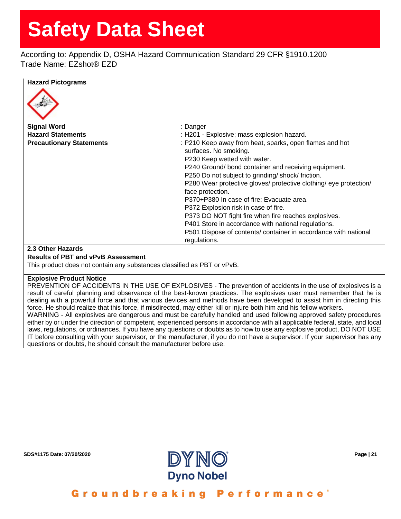According to: Appendix D, OSHA Hazard Communication Standard 29 CFR §1910.1200 Trade Name: EZshot® EZD

### **Hazard Pictograms**



## **2.3 Other Hazards**

#### **Results of PBT and vPvB Assessment**

This product does not contain any substances classified as PBT or vPvB.

#### **Explosive Product Notice**

PREVENTION OF ACCIDENTS IN THE USE OF EXPLOSIVES - The prevention of accidents in the use of explosives is a result of careful planning and observance of the best-known practices. The explosives user must remember that he is dealing with a powerful force and that various devices and methods have been developed to assist him in directing this force. He should realize that this force, if misdirected, may either kill or injure both him and his fellow workers. WARNING - All explosives are dangerous and must be carefully handled and used following approved safety procedures

either by or under the direction of competent, experienced persons in accordance with all applicable federal, state, and local laws, regulations, or ordinances. If you have any questions or doubts as to how to use any explosive product, DO NOT USE IT before consulting with your supervisor, or the manufacturer, if you do not have a supervisor. If your supervisor has any questions or doubts, he should consult the manufacturer before use.

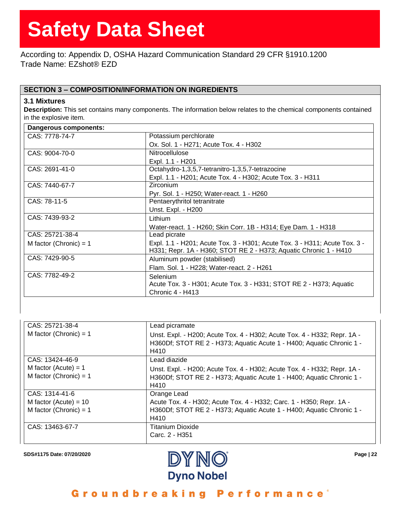According to: Appendix D, OSHA Hazard Communication Standard 29 CFR §1910.1200 Trade Name: EZshot® EZD

## **SECTION 3 – COMPOSITION/INFORMATION ON INGREDIENTS**

## **3.1 Mixtures**

**Description:** This set contains many components. The information below relates to the chemical components contained in the explosive item.

| Dangerous components:    |                                                                                                                                                 |
|--------------------------|-------------------------------------------------------------------------------------------------------------------------------------------------|
| CAS: 7778-74-7           | Potassium perchlorate                                                                                                                           |
|                          | Ox. Sol. 1 - H271; Acute Tox. 4 - H302                                                                                                          |
| CAS: 9004-70-0           | <b>Nitrocellulose</b>                                                                                                                           |
|                          | Expl. 1.1 - H201                                                                                                                                |
| CAS: 2691-41-0           | Octahydro-1,3,5,7-tetranitro-1,3,5,7-tetrazocine                                                                                                |
|                          | Expl. 1.1 - H201; Acute Tox. 4 - H302; Acute Tox. 3 - H311                                                                                      |
| CAS: 7440-67-7           | Zirconium                                                                                                                                       |
|                          | Pyr. Sol. 1 - H250; Water-react. 1 - H260                                                                                                       |
| CAS: 78-11-5             | Pentaerythritol tetranitrate                                                                                                                    |
|                          | Unst. Expl. - H200                                                                                                                              |
| CAS: 7439-93-2           | Lithium                                                                                                                                         |
|                          | Water-react. 1 - H260; Skin Corr. 1B - H314; Eye Dam. 1 - H318                                                                                  |
| CAS: 25721-38-4          | Lead picrate                                                                                                                                    |
| M factor (Chronic) = $1$ | Expl. 1.1 - H201; Acute Tox. 3 - H301; Acute Tox. 3 - H311; Acute Tox. 3 -<br>H331; Repr. 1A - H360; STOT RE 2 - H373; Aquatic Chronic 1 - H410 |
| CAS: 7429-90-5           | Aluminum powder (stabilised)                                                                                                                    |
|                          | Flam. Sol. 1 - H228; Water-react. 2 - H261                                                                                                      |
| CAS: 7782-49-2           | Selenium                                                                                                                                        |
|                          | Acute Tox. 3 - H301; Acute Tox. 3 - H331; STOT RE 2 - H373; Aquatic                                                                             |
|                          | Chronic 4 - H413                                                                                                                                |

| CAS: 25721-38-4<br>M factor (Chronic) = $1$                           | Lead picramate<br>Unst. Expl. - H200; Acute Tox. 4 - H302; Acute Tox. 4 - H332; Repr. 1A -<br>H360Df; STOT RE 2 - H373; Aquatic Acute 1 - H400; Aquatic Chronic 1 -<br>H410 |
|-----------------------------------------------------------------------|-----------------------------------------------------------------------------------------------------------------------------------------------------------------------------|
| CAS: 13424-46-9<br>M factor (Acute) = $1$<br>M factor (Chronic) = $1$ | Lead diazide<br>Unst. Expl. - H200; Acute Tox. 4 - H302; Acute Tox. 4 - H332; Repr. 1A -<br>H360Df; STOT RE 2 - H373; Aquatic Acute 1 - H400; Aquatic Chronic 1 -<br>H410   |
| CAS: 1314-41-6<br>M factor (Acute) = $10$<br>M factor (Chronic) = $1$ | Orange Lead<br>Acute Tox. 4 - H302; Acute Tox. 4 - H332; Carc. 1 - H350; Repr. 1A -<br>H360Df; STOT RE 2 - H373; Aquatic Acute 1 - H400; Aquatic Chronic 1 -<br>H410        |
| CAS: 13463-67-7                                                       | <b>Titanium Dioxide</b><br>Carc. 2 - H351                                                                                                                                   |

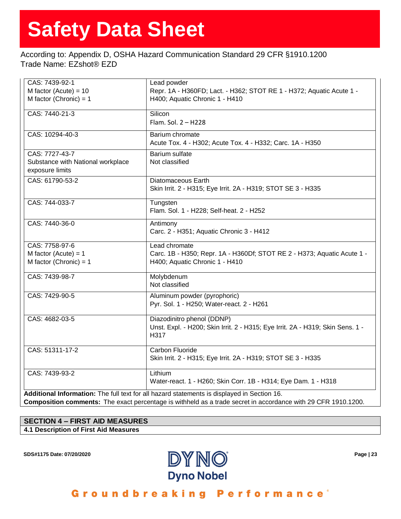## According to: Appendix D, OSHA Hazard Communication Standard 29 CFR §1910.1200 Trade Name: EZshot® EZD

| CAS: 7439-92-1                                       | Lead powder                                                                                 |
|------------------------------------------------------|---------------------------------------------------------------------------------------------|
| M factor (Acute) = $10$                              | Repr. 1A - H360FD; Lact. - H362; STOT RE 1 - H372; Aquatic Acute 1 -                        |
| M factor (Chronic) = $1$                             | H400; Aquatic Chronic 1 - H410                                                              |
| CAS: 7440-21-3                                       | Silicon                                                                                     |
|                                                      | Flam. Sol. 2 - H228                                                                         |
| CAS: 10294-40-3                                      | Barium chromate                                                                             |
|                                                      | Acute Tox. 4 - H302; Acute Tox. 4 - H332; Carc. 1A - H350                                   |
| CAS: 7727-43-7                                       | Barium sulfate                                                                              |
| Substance with National workplace<br>exposure limits | Not classified                                                                              |
| CAS: 61790-53-2                                      | Diatomaceous Earth                                                                          |
|                                                      | Skin Irrit. 2 - H315; Eye Irrit. 2A - H319; STOT SE 3 - H335                                |
| CAS: 744-033-7                                       | Tungsten                                                                                    |
|                                                      | Flam. Sol. 1 - H228; Self-heat. 2 - H252                                                    |
| CAS: 7440-36-0                                       | Antimony                                                                                    |
|                                                      | Carc. 2 - H351; Aquatic Chronic 3 - H412                                                    |
| CAS: 7758-97-6                                       | Lead chromate                                                                               |
| M factor (Acute) = $1$                               | Carc. 1B - H350; Repr. 1A - H360Df; STOT RE 2 - H373; Aquatic Acute 1 -                     |
| M factor (Chronic) = $1$                             | H400; Aquatic Chronic 1 - H410                                                              |
| CAS: 7439-98-7                                       | Molybdenum                                                                                  |
|                                                      | Not classified                                                                              |
| CAS: 7429-90-5                                       | Aluminum powder (pyrophoric)                                                                |
|                                                      | Pyr. Sol. 1 - H250; Water-react. 2 - H261                                                   |
| CAS: 4682-03-5                                       | Diazodinitro phenol (DDNP)                                                                  |
|                                                      | Unst. Expl. - H200; Skin Irrit. 2 - H315; Eye Irrit. 2A - H319; Skin Sens. 1 -              |
|                                                      | H317                                                                                        |
| CAS: 51311-17-2                                      | Carbon Fluoride                                                                             |
|                                                      | Skin Irrit. 2 - H315; Eye Irrit. 2A - H319; STOT SE 3 - H335                                |
| CAS: 7439-93-2                                       | Lithium                                                                                     |
|                                                      | Water-react. 1 - H260; Skin Corr. 1B - H314; Eye Dam. 1 - H318                              |
|                                                      | Additional Information: The full text for all hazard statements is displayed in Section 16. |

**Composition comments:** The exact percentage is withheld as a trade secret in accordance with 29 CFR 1910.1200.

## **SECTION 4 – FIRST AID MEASURES**

**4.1 Description of First Aid Measures**

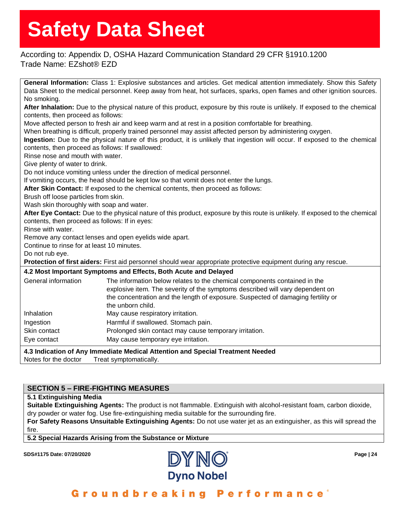According to: Appendix D, OSHA Hazard Communication Standard 29 CFR §1910.1200 Trade Name: EZshot® EZD

**General Information:** Class 1: Explosive substances and articles. Get medical attention immediately. Show this Safety Data Sheet to the medical personnel. Keep away from heat, hot surfaces, sparks, open flames and other ignition sources. No smoking. **After Inhalation:** Due to the physical nature of this product, exposure by this route is unlikely. If exposed to the chemical contents, then proceed as follows: Move affected person to fresh air and keep warm and at rest in a position comfortable for breathing. When breathing is difficult, properly trained personnel may assist affected person by administering oxygen. **Ingestion:** Due to the physical nature of this product, it is unlikely that ingestion will occur. If exposed to the chemical contents, then proceed as follows: If swallowed: Rinse nose and mouth with water. Give plenty of water to drink. Do not induce vomiting unless under the direction of medical personnel. If vomiting occurs, the head should be kept low so that vomit does not enter the lungs. **After Skin Contact:** If exposed to the chemical contents, then proceed as follows: Brush off loose particles from skin. Wash skin thoroughly with soap and water. **After Eye Contact:** Due to the physical nature of this product, exposure by this route is unlikely. If exposed to the chemical contents, then proceed as follows: If in eyes: Rinse with water. Remove any contact lenses and open eyelids wide apart. Continue to rinse for at least 10 minutes. Do not rub eye. **Protection of first aiders:** First aid personnel should wear appropriate protective equipment during any rescue. **4.2 Most Important Symptoms and Effects, Both Acute and Delayed** General information The information below relates to the chemical components contained in the explosive item. The severity of the symptoms described will vary dependent on the concentration and the length of exposure. Suspected of damaging fertility or the unborn child. Inhalation May cause respiratory irritation. Ingestion **Harmful if swallowed.** Stomach pain. Skin contact **Prolonged skin contact may cause temporary irritation.** Eye contact May cause temporary eye irritation. **4.3 Indication of Any Immediate Medical Attention and Special Treatment Needed** Notes for the doctor Treat symptomatically.

## **SECTION 5 – FIRE-FIGHTING MEASURES**

### **5.1 Extinguishing Media**

**Suitable Extinguishing Agents:** The product is not flammable. Extinguish with alcohol-resistant foam, carbon dioxide, dry powder or water fog. Use fire-extinguishing media suitable for the surrounding fire.

**For Safety Reasons Unsuitable Extinguishing Agents:** Do not use water jet as an extinguisher, as this will spread the fire.

**5.2 Special Hazards Arising from the Substance or Mixture**

**SDS#1175 Date: 07/20/2020 Page | 24**

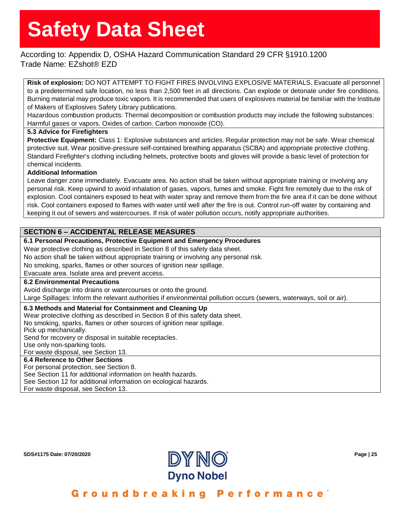## According to: Appendix D, OSHA Hazard Communication Standard 29 CFR §1910.1200 Trade Name: EZshot® EZD

**Risk of explosion:** DO NOT ATTEMPT TO FIGHT FIRES INVOLVING EXPLOSIVE MATERIALS. Evacuate all personnel to a predetermined safe location, no less than 2,500 feet in all directions. Can explode or detonate under fire conditions. Burning material may produce toxic vapors. It is recommended that users of explosives material be familiar with the Institute of Makers of Explosives Safety Library publications.

Hazardous combustion products: Thermal decomposition or combustion products may include the following substances: Harmful gases or vapors. Oxides of carbon. Carbon monoxide (CO).

## **5.3 Advice for Firefighters**

**Protective Equipment:** Class 1: Explosive substances and articles. Regular protection may not be safe. Wear chemical protective suit. Wear positive-pressure self-contained breathing apparatus (SCBA) and appropriate protective clothing. Standard Firefighter's clothing including helmets, protective boots and gloves will provide a basic level of protection for chemical incidents.

### **Additional Information**

Leave danger zone immediately. Evacuate area. No action shall be taken without appropriate training or involving any personal risk. Keep upwind to avoid inhalation of gases, vapors, fumes and smoke. Fight fire remotely due to the risk of explosion. Cool containers exposed to heat with water spray and remove them from the fire area if it can be done without risk. Cool containers exposed to flames with water until well after the fire is out. Control run-off water by containing and keeping it out of sewers and watercourses. If risk of water pollution occurs, notify appropriate authorities.

## **SECTION 6 – ACCIDENTAL RELEASE MEASURES**

### **6.1 Personal Precautions, Protective Equipment and Emergency Procedures**

Wear protective clothing as described in Section 8 of this safety data sheet.

No action shall be taken without appropriate training or involving any personal risk.

No smoking, sparks, flames or other sources of ignition near spillage.

Evacuate area. Isolate area and prevent access.

### **6.2 Environmental Precautions**

Avoid discharge into drains or watercourses or onto the ground.

Large Spillages: Inform the relevant authorities if environmental pollution occurs (sewers, waterways, soil or air).

### **6.3 Methods and Material for Containment and Cleaning Up**

Wear protective clothing as described in Section 8 of this safety data sheet.

No smoking, sparks, flames or other sources of ignition near spillage.

Pick up mechanically.

Send for recovery or disposal in suitable receptacles.

Use only non-sparking tools.

For waste disposal, see Section 13.

### **6.4 Reference to Other Sections**

For personal protection, see Section 8.

See Section 11 for additional information on health hazards.

See Section 12 for additional information on ecological hazards.

For waste disposal, see Section 13.

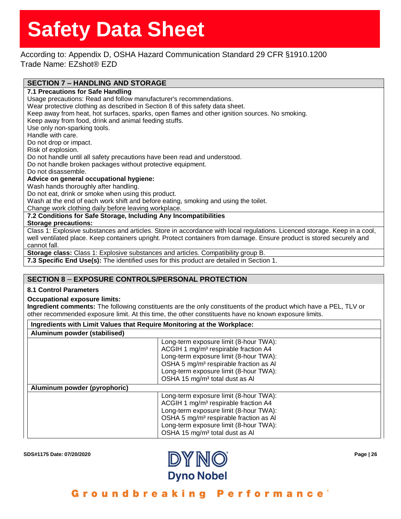According to: Appendix D, OSHA Hazard Communication Standard 29 CFR §1910.1200 Trade Name: EZshot® EZD

## **SECTION 7 – HANDLING AND STORAGE**

**7.1 Precautions for Safe Handling** Usage precautions: Read and follow manufacturer's recommendations. Wear protective clothing as described in Section 8 of this safety data sheet. Keep away from heat, hot surfaces, sparks, open flames and other ignition sources. No smoking. Keep away from food, drink and animal feeding stuffs. Use only non-sparking tools. Handle with care. Do not drop or impact. Risk of explosion. Do not handle until all safety precautions have been read and understood. Do not handle broken packages without protective equipment. Do not disassemble. **Advice on general occupational hygiene:** Wash hands thoroughly after handling. Do not eat, drink or smoke when using this product. Wash at the end of each work shift and before eating, smoking and using the toilet. Change work clothing daily before leaving workplace.

**7.2 Conditions for Safe Storage, Including Any Incompatibilities**

### **Storage precautions:**

Class 1: Explosive substances and articles. Store in accordance with local regulations. Licenced storage. Keep in a cool, well ventilated place. Keep containers upright. Protect containers from damage. Ensure product is stored securely and cannot fall.

**Storage class:** Class 1: Explosive substances and articles. Compatibility group B.

**7.3 Specific End Use(s):** The identified uses for this product are detailed in Section 1.

## **SECTION 8** – **EXPOSURE CONTROLS/PERSONAL PROTECTION**

### **8.1 Control Parameters**

### **Occupational exposure limits:**

**Ingredient comments:** The following constituents are the only constituents of the product which have a PEL, TLV or other recommended exposure limit. At this time, the other constituents have no known exposure limits.

### **Ingredients with Limit Values that Require Monitoring at the Workplace:**

| Aluminum powder (stabilised) |                                                                                                                                                                                                                                                                                    |  |  |  |
|------------------------------|------------------------------------------------------------------------------------------------------------------------------------------------------------------------------------------------------------------------------------------------------------------------------------|--|--|--|
|                              | Long-term exposure limit (8-hour TWA):<br>ACGIH 1 mg/m <sup>3</sup> respirable fraction A4<br>Long-term exposure limit (8-hour TWA):<br>OSHA 5 mg/m <sup>3</sup> respirable fraction as Al<br>Long-term exposure limit (8-hour TWA):<br>OSHA 15 mg/m <sup>3</sup> total dust as Al |  |  |  |
| Aluminum powder (pyrophoric) |                                                                                                                                                                                                                                                                                    |  |  |  |
|                              | Long-term exposure limit (8-hour TWA):<br>ACGIH 1 mg/m <sup>3</sup> respirable fraction A4<br>Long-term exposure limit (8-hour TWA):<br>OSHA 5 mg/m <sup>3</sup> respirable fraction as Al<br>Long-term exposure limit (8-hour TWA):<br>OSHA 15 mg/m <sup>3</sup> total dust as Al |  |  |  |

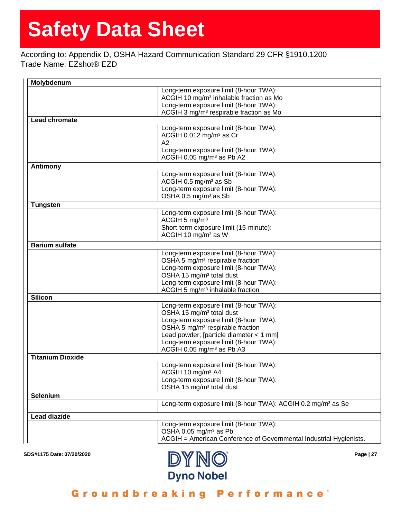According to: Appendix D, OSHA Hazard Communication Standard 29 CFR §1910.1200 Trade Name: EZshot® EZD

| Molybdenum                |                                                                                     |
|---------------------------|-------------------------------------------------------------------------------------|
|                           | Long-term exposure limit (8-hour TWA):                                              |
|                           | ACGIH 10 mg/m <sup>3</sup> inhalable fraction as Mo                                 |
|                           | Long-term exposure limit (8-hour TWA):                                              |
|                           | ACGIH 3 mg/m <sup>3</sup> respirable fraction as Mo                                 |
| Lead chromate             |                                                                                     |
|                           | Long-term exposure limit (8-hour TWA):                                              |
|                           | ACGIH 0.012 mg/m <sup>3</sup> as Cr<br>A2                                           |
|                           | Long-term exposure limit (8-hour TWA):                                              |
|                           | ACGIH 0.05 mg/m <sup>3</sup> as Pb A2                                               |
| <b>Antimony</b>           |                                                                                     |
|                           | Long-term exposure limit (8-hour TWA):                                              |
|                           | ACGIH 0.5 mg/m <sup>3</sup> as Sb                                                   |
|                           | Long-term exposure limit (8-hour TWA):                                              |
|                           | OSHA 0.5 mg/m <sup>3</sup> as Sb                                                    |
| <b>Tungsten</b>           |                                                                                     |
|                           | Long-term exposure limit (8-hour TWA):                                              |
|                           | ACGIH 5 mg/m <sup>3</sup>                                                           |
|                           | Short-term exposure limit (15-minute):                                              |
|                           | ACGIH 10 mg/m <sup>3</sup> as W                                                     |
| <b>Barium sulfate</b>     |                                                                                     |
|                           | Long-term exposure limit (8-hour TWA):                                              |
|                           | OSHA 5 mg/m <sup>3</sup> respirable fraction                                        |
|                           | Long-term exposure limit (8-hour TWA):                                              |
|                           | OSHA 15 mg/m <sup>3</sup> total dust                                                |
|                           | Long-term exposure limit (8-hour TWA):                                              |
|                           | ACGIH 5 mg/m <sup>3</sup> inhalable fraction                                        |
| <b>Silicon</b>            |                                                                                     |
|                           | Long-term exposure limit (8-hour TWA):                                              |
|                           | OSHA 15 mg/m <sup>3</sup> total dust                                                |
|                           | Long-term exposure limit (8-hour TWA):                                              |
|                           | OSHA 5 mg/m <sup>3</sup> respirable fraction                                        |
|                           | Lead powder; [particle diameter $<$ 1 mm]<br>Long-term exposure limit (8-hour TWA): |
|                           | ACGIH 0.05 mg/m <sup>3</sup> as Pb A3                                               |
| <b>Titanium Dioxide</b>   |                                                                                     |
|                           | Long-term exposure limit (8-hour TWA):                                              |
|                           | ACGIH 10 mg/m <sup>3</sup> A4                                                       |
|                           | Long-term exposure limit (8-hour TWA):                                              |
|                           | OSHA 15 mg/m <sup>3</sup> total dust                                                |
| Selenium                  |                                                                                     |
|                           | Long-term exposure limit (8-hour TWA): ACGIH 0.2 mg/m <sup>3</sup> as Se            |
| <b>Lead diazide</b>       |                                                                                     |
|                           | Long-term exposure limit (8-hour TWA):                                              |
|                           | OSHA 0.05 mg/m <sup>3</sup> as Pb                                                   |
|                           | ACGIH = American Conference of Governmental Industrial Hygienists.                  |
|                           |                                                                                     |
| SDS#1175 Date: 07/20/2020 | <b>DAMMUU</b><br>Page   27                                                          |

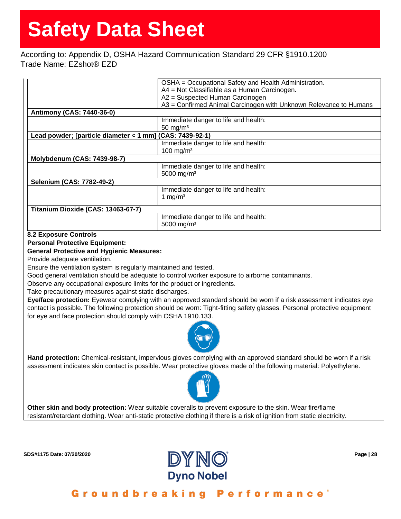## According to: Appendix D, OSHA Hazard Communication Standard 29 CFR §1910.1200 Trade Name: EZshot® EZD

|                                                          | OSHA = Occupational Safety and Health Administration.             |
|----------------------------------------------------------|-------------------------------------------------------------------|
|                                                          | A4 = Not Classifiable as a Human Carcinogen.                      |
|                                                          | A2 = Suspected Human Carcinogen                                   |
|                                                          | A3 = Confirmed Animal Carcinogen with Unknown Relevance to Humans |
| <b>Antimony (CAS: 7440-36-0)</b>                         |                                                                   |
|                                                          | Immediate danger to life and health:                              |
|                                                          | 50 mg/ $m3$                                                       |
| Lead powder; [particle diameter < 1 mm] (CAS: 7439-92-1) |                                                                   |
|                                                          | Immediate danger to life and health:                              |
|                                                          | $100$ mg/m <sup>3</sup>                                           |
| <b>Molybdenum (CAS: 7439-98-7)</b>                       |                                                                   |
|                                                          | Immediate danger to life and health:                              |
|                                                          | 5000 mg/m <sup>3</sup>                                            |
| Selenium (CAS: 7782-49-2)                                |                                                                   |
|                                                          | Immediate danger to life and health:                              |
|                                                          | 1 mg/m <sup>3</sup>                                               |
|                                                          |                                                                   |
| Titanium Dioxide (CAS: 13463-67-7)                       |                                                                   |
|                                                          | Immediate danger to life and health:                              |
|                                                          | 5000 mg/m <sup>3</sup>                                            |
|                                                          |                                                                   |

### **8.2 Exposure Controls**

**Personal Protective Equipment:**

## **General Protective and Hygienic Measures:**

Provide adequate ventilation.

Ensure the ventilation system is regularly maintained and tested.

Good general ventilation should be adequate to control worker exposure to airborne contaminants.

Observe any occupational exposure limits for the product or ingredients.

Take precautionary measures against static discharges.

**Eye/face protection:** Eyewear complying with an approved standard should be worn if a risk assessment indicates eye contact is possible. The following protection should be worn: Tight-fitting safety glasses. Personal protective equipment for eye and face protection should comply with OSHA 1910.133.



**Hand protection:** Chemical-resistant, impervious gloves complying with an approved standard should be worn if a risk assessment indicates skin contact is possible. Wear protective gloves made of the following material: Polyethylene.



**Other skin and body protection:** Wear suitable coveralls to prevent exposure to the skin. Wear fire/flame resistant/retardant clothing. Wear anti-static protective clothing if there is a risk of ignition from static electricity.

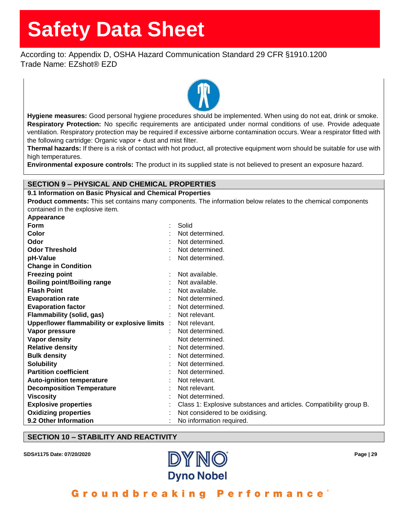According to: Appendix D, OSHA Hazard Communication Standard 29 CFR §1910.1200 Trade Name: EZshot® EZD



**Hygiene measures:** Good personal hygiene procedures should be implemented. When using do not eat, drink or smoke. **Respiratory Protection:** No specific requirements are anticipated under normal conditions of use. Provide adequate ventilation. Respiratory protection may be required if excessive airborne contamination occurs. Wear a respirator fitted with the following cartridge: Organic vapor + dust and mist filter.

**Thermal hazards:** If there is a risk of contact with hot product, all protective equipment worn should be suitable for use with high temperatures.

**Environmental exposure controls:** The product in its supplied state is not believed to present an exposure hazard.

## **SECTION 9 – PHYSICAL AND CHEMICAL PROPERTIES**

#### **9.1 Information on Basic Physical and Chemical Properties**

**Product comments:** This set contains many components. The information below relates to the chemical components contained in the explosive item.

| Appearance                                     |                                                                    |
|------------------------------------------------|--------------------------------------------------------------------|
| Form                                           | Solid                                                              |
| Color                                          | Not determined.                                                    |
| Odor                                           | Not determined.                                                    |
| <b>Odor Threshold</b>                          | Not determined.                                                    |
| pH-Value                                       | Not determined.                                                    |
| <b>Change in Condition</b>                     |                                                                    |
| <b>Freezing point</b>                          | Not available.                                                     |
| <b>Boiling point/Boiling range</b>             | Not available.                                                     |
| <b>Flash Point</b>                             | Not available.                                                     |
| <b>Evaporation rate</b>                        | Not determined.                                                    |
| <b>Evaporation factor</b>                      | Not determined.                                                    |
| <b>Flammability (solid, gas)</b>               | Not relevant.                                                      |
| Upper/lower flammability or explosive limits : | Not relevant.                                                      |
| Vapor pressure                                 | Not determined.                                                    |
| <b>Vapor density</b>                           | Not determined.                                                    |
| <b>Relative density</b>                        | Not determined.                                                    |
| <b>Bulk density</b>                            | Not determined.                                                    |
| <b>Solubility</b>                              | Not determined.                                                    |
| <b>Partition coefficient</b>                   | Not determined.                                                    |
| <b>Auto-ignition temperature</b>               | Not relevant.                                                      |
| <b>Decomposition Temperature</b>               | Not relevant.                                                      |
| <b>Viscosity</b>                               | Not determined.                                                    |
| <b>Explosive properties</b>                    | Class 1: Explosive substances and articles. Compatibility group B. |
| <b>Oxidizing properties</b>                    | Not considered to be oxidising.                                    |
| 9.2 Other Information                          | No information required.                                           |

## **SECTION 10 – STABILITY AND REACTIVITY**

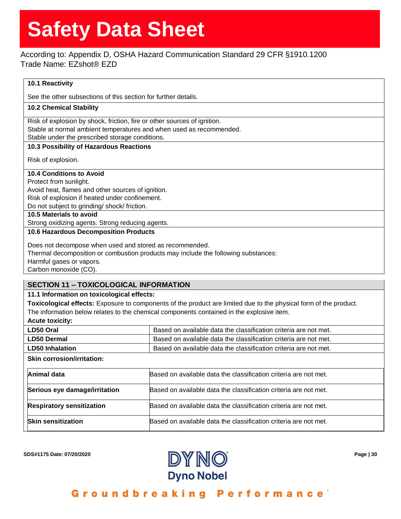## According to: Appendix D, OSHA Hazard Communication Standard 29 CFR §1910.1200 Trade Name: EZshot® EZD

## **10.1 Reactivity**

See the other subsections of this section for further details.

## **10.2 Chemical Stability**

Risk of explosion by shock, friction, fire or other sources of ignition. Stable at normal ambient temperatures and when used as recommended. Stable under the prescribed storage conditions.

### **10.3 Possibility of Hazardous Reactions**

Risk of explosion.

## **10.4 Conditions to Avoid**

Protect from sunlight.

Avoid heat, flames and other sources of ignition.

Risk of explosion if heated under confinement.

Do not subject to grinding/ shock/ friction.

**10.5 Materials to avoid**

Strong oxidizing agents. Strong reducing agents.

### **10.6 Hazardous Decomposition Products**

Does not decompose when used and stored as recommended. Thermal decomposition or combustion products may include the following substances: Harmful gases or vapors. Carbon monoxide (CO).

## **SECTION 11 – TOXICOLOGICAL INFORMATION**

## **11.1 Information on toxicological effects:**

**Toxicological effects:** Exposure to components of the product are limited due to the physical form of the product. The information below relates to the chemical components contained in the explosive item.

### **Acute toxicity:**

| LD50 Oral              | Based on available data the classification criteria are not met. |
|------------------------|------------------------------------------------------------------|
| LD50 Dermal            | Based on available data the classification criteria are not met. |
| <b>LD50 Inhalation</b> | Based on available data the classification criteria are not met. |
|                        |                                                                  |

#### **Skin corrosion/irritation:**

| Animal data                      | Based on available data the classification criteria are not met. |
|----------------------------------|------------------------------------------------------------------|
| Serious eye damage/irritation    | Based on available data the classification criteria are not met. |
| <b>Respiratory sensitization</b> | Based on available data the classification criteria are not met. |
| <b>Skin sensitization</b>        | Based on available data the classification criteria are not met. |

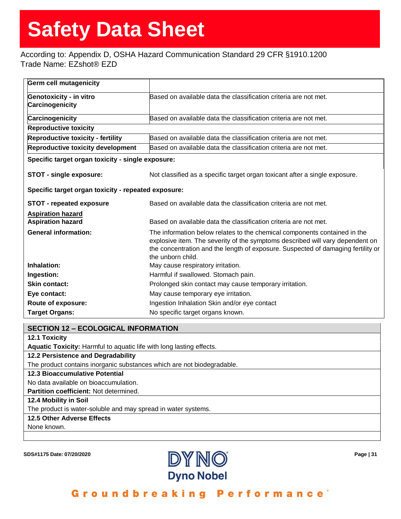## According to: Appendix D, OSHA Hazard Communication Standard 29 CFR §1910.1200 Trade Name: EZshot® EZD

| <b>Germ cell mutagenicity</b>                                                                          |                                                                                                                                                                                                                                                                     |
|--------------------------------------------------------------------------------------------------------|---------------------------------------------------------------------------------------------------------------------------------------------------------------------------------------------------------------------------------------------------------------------|
| <b>Genotoxicity - in vitro</b>                                                                         | Based on available data the classification criteria are not met.                                                                                                                                                                                                    |
| Carcinogenicity                                                                                        |                                                                                                                                                                                                                                                                     |
| Carcinogenicity                                                                                        | Based on available data the classification criteria are not met.                                                                                                                                                                                                    |
| <b>Reproductive toxicity</b>                                                                           |                                                                                                                                                                                                                                                                     |
| <b>Reproductive toxicity - fertility</b>                                                               | Based on available data the classification criteria are not met.                                                                                                                                                                                                    |
| Reproductive toxicity development                                                                      | Based on available data the classification criteria are not met.                                                                                                                                                                                                    |
| Specific target organ toxicity - single exposure:                                                      |                                                                                                                                                                                                                                                                     |
| STOT - single exposure:<br>Not classified as a specific target organ toxicant after a single exposure. |                                                                                                                                                                                                                                                                     |
| Specific target organ toxicity - repeated exposure:                                                    |                                                                                                                                                                                                                                                                     |
| <b>STOT - repeated exposure</b>                                                                        | Based on available data the classification criteria are not met.                                                                                                                                                                                                    |
| <b>Aspiration hazard</b>                                                                               |                                                                                                                                                                                                                                                                     |
| <b>Aspiration hazard</b>                                                                               | Based on available data the classification criteria are not met.                                                                                                                                                                                                    |
| <b>General information:</b>                                                                            | The information below relates to the chemical components contained in the<br>explosive item. The severity of the symptoms described will vary dependent on<br>the concentration and the length of exposure. Suspected of damaging fertility or<br>the unborn child. |
| Inhalation:                                                                                            | May cause respiratory irritation.                                                                                                                                                                                                                                   |
| Ingestion:                                                                                             | Harmful if swallowed. Stomach pain.                                                                                                                                                                                                                                 |
| <b>Skin contact:</b>                                                                                   | Prolonged skin contact may cause temporary irritation.                                                                                                                                                                                                              |
| Eye contact:                                                                                           | May cause temporary eye irritation.                                                                                                                                                                                                                                 |
| Route of exposure:                                                                                     | Ingestion Inhalation Skin and/or eye contact                                                                                                                                                                                                                        |
| <b>Target Organs:</b>                                                                                  | No specific target organs known.                                                                                                                                                                                                                                    |

### **SECTION 12 – ECOLOGICAL INFORMATION**

**12.1 Toxicity**

**Aquatic Toxicity:** Harmful to aquatic life with long lasting effects.

### **12.2 Persistence and Degradability**

The product contains inorganic substances which are not biodegradable.

#### **12.3 Bioaccumulative Potential**

No data available on bioaccumulation.

**Partition coefficient:** Not determined.

## **12.4 Mobility in Soil**

The product is water-soluble and may spread in water systems.

## **12.5 Other Adverse Effects**

None known.

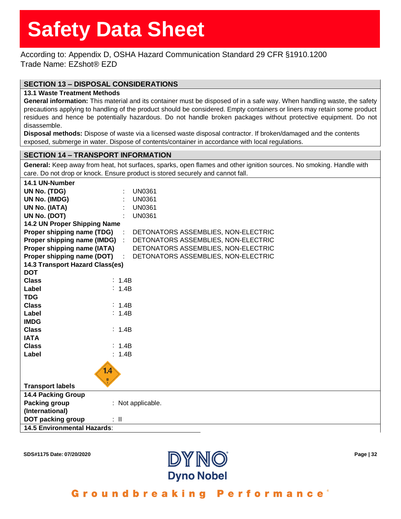According to: Appendix D, OSHA Hazard Communication Standard 29 CFR §1910.1200 Trade Name: EZshot® EZD

## **SECTION 13 – DISPOSAL CONSIDERATIONS**

#### **13.1 Waste Treatment Methods**

**General information:** This material and its container must be disposed of in a safe way. When handling waste, the safety precautions applying to handling of the product should be considered. Empty containers or liners may retain some product residues and hence be potentially hazardous. Do not handle broken packages without protective equipment. Do not disassemble.

**Disposal methods:** Dispose of waste via a licensed waste disposal contractor. If broken/damaged and the contents exposed, submerge in water. Dispose of contents/container in accordance with local regulations.

## **SECTION 14 – TRANSPORT INFORMATION**

**General:** Keep away from heat, hot surfaces, sparks, open flames and other ignition sources. No smoking. Handle with care. Do not drop or knock. Ensure product is stored securely and cannot fall.

| 14.1 UN-Number                     |          |                   |                                     |
|------------------------------------|----------|-------------------|-------------------------------------|
| UN No. (TDG)                       |          |                   | <b>UN0361</b>                       |
| UN No. (IMDG)                      |          |                   | <b>UN0361</b>                       |
| UN No. (IATA)                      |          |                   | <b>UN0361</b>                       |
| UN No. (DOT)                       |          |                   | <b>UN0361</b>                       |
| 14.2 UN Proper Shipping Name       |          |                   |                                     |
| Proper shipping name (TDG)         |          |                   | DETONATORS ASSEMBLIES, NON-ELECTRIC |
| Proper shipping name (IMDG) :      |          |                   | DETONATORS ASSEMBLIES, NON-ELECTRIC |
| Proper shipping name (IATA)        |          |                   | DETONATORS ASSEMBLIES, NON-ELECTRIC |
| Proper shipping name (DOT)         |          |                   | DETONATORS ASSEMBLIES, NON-ELECTRIC |
| 14.3 Transport Hazard Class(es)    |          |                   |                                     |
| <b>DOT</b>                         |          |                   |                                     |
| <b>Class</b>                       |          | : 1.4B            |                                     |
| Label                              |          | : 1.4B            |                                     |
| <b>TDG</b>                         |          |                   |                                     |
| <b>Class</b>                       |          | $\therefore$ 1.4B |                                     |
| Label                              |          | : 1.4B            |                                     |
| <b>IMDG</b>                        |          |                   |                                     |
| <b>Class</b>                       |          | : 1.4B            |                                     |
| <b>IATA</b>                        |          |                   |                                     |
| <b>Class</b>                       |          | : 1.4B            |                                     |
| Label                              |          | : 1.4B            |                                     |
|                                    | 1.4      |                   |                                     |
|                                    |          |                   |                                     |
| <b>Transport labels</b>            |          |                   |                                     |
| <b>14.4 Packing Group</b>          |          |                   |                                     |
| <b>Packing group</b>               |          |                   | : Not applicable.                   |
| (International)                    |          |                   |                                     |
| <b>DOT packing group</b>           | $\pm$ 11 |                   |                                     |
| <b>14.5 Environmental Hazards:</b> |          |                   |                                     |
|                                    |          |                   |                                     |



Groundbreaking Performance"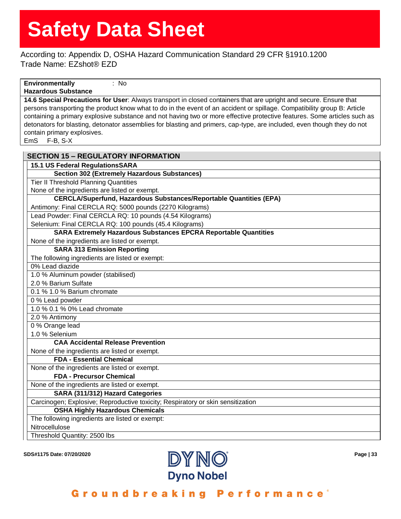According to: Appendix D, OSHA Hazard Communication Standard 29 CFR §1910.1200 Trade Name: EZshot® EZD

#### **Environmentally**  : No

## **Hazardous Substance**

**14.6 Special Precautions for User**: Always transport in closed containers that are upright and secure. Ensure that persons transporting the product know what to do in the event of an accident or spillage. Compatibility group B: Article containing a primary explosive substance and not having two or more effective protective features. Some articles such as detonators for blasting, detonator assemblies for blasting and primers, cap-type, are included, even though they do not contain primary explosives.

EmS F-B, S-X

| <b>SECTION 15 - REGULATORY INFORMATION</b>                                      |
|---------------------------------------------------------------------------------|
| 15.1 US Federal RegulationsSARA                                                 |
| <b>Section 302 (Extremely Hazardous Substances)</b>                             |
| <b>Tier II Threshold Planning Quantities</b>                                    |
| None of the ingredients are listed or exempt.                                   |
| <b>CERCLA/Superfund, Hazardous Substances/Reportable Quantities (EPA)</b>       |
| Antimony: Final CERCLA RQ: 5000 pounds (2270 Kilograms)                         |
| Lead Powder: Final CERCLA RQ: 10 pounds (4.54 Kilograms)                        |
| Selenium: Final CERCLA RQ: 100 pounds (45.4 Kilograms)                          |
| <b>SARA Extremely Hazardous Substances EPCRA Reportable Quantities</b>          |
| None of the ingredients are listed or exempt.                                   |
| <b>SARA 313 Emission Reporting</b>                                              |
| The following ingredients are listed or exempt:                                 |
| 0% Lead diazide                                                                 |
| 1.0 % Aluminum powder (stabilised)                                              |
| 2.0 % Barium Sulfate                                                            |
| 0.1 % 1.0 % Barium chromate                                                     |
| 0 % Lead powder                                                                 |
| 1.0 % 0.1 % 0% Lead chromate                                                    |
| 2.0 % Antimony                                                                  |
| 0 % Orange lead                                                                 |
| 1.0 % Selenium                                                                  |
| <b>CAA Accidental Release Prevention</b>                                        |
| None of the ingredients are listed or exempt.                                   |
| <b>FDA - Essential Chemical</b>                                                 |
| None of the ingredients are listed or exempt.                                   |
| <b>FDA - Precursor Chemical</b>                                                 |
| None of the ingredients are listed or exempt.                                   |
| SARA (311/312) Hazard Categories                                                |
| Carcinogen; Explosive; Reproductive toxicity; Respiratory or skin sensitization |
| <b>OSHA Highly Hazardous Chemicals</b>                                          |
| The following ingredients are listed or exempt:                                 |
| Nitrocellulose                                                                  |
| Threshold Quantity: 2500 lbs                                                    |

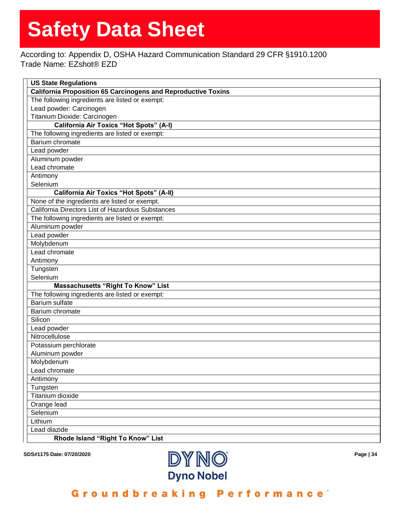According to: Appendix D, OSHA Hazard Communication Standard 29 CFR §1910.1200 Trade Name: EZshot® EZD

| <b>US State Regulations</b>                                          |
|----------------------------------------------------------------------|
| <b>California Proposition 65 Carcinogens and Reproductive Toxins</b> |
| The following ingredients are listed or exempt:                      |
| Lead powder: Carcinogen                                              |
| Titanium Dioxide: Carcinogen                                         |
| <b>California Air Toxics "Hot Spots" (A-I)</b>                       |
| The following ingredients are listed or exempt:                      |
| Barium chromate                                                      |
| Lead powder                                                          |
| Aluminum powder                                                      |
| Lead chromate                                                        |
| Antimony                                                             |
| Selenium                                                             |
| <b>California Air Toxics "Hot Spots" (A-II)</b>                      |
| None of the ingredients are listed or exempt.                        |
| California Directors List of Hazardous Substances                    |
| The following ingredients are listed or exempt:                      |
| Aluminum powder                                                      |
| Lead powder                                                          |
| Molybdenum                                                           |
| Lead chromate                                                        |
| Antimony                                                             |
| Tungsten                                                             |
| Selenium                                                             |
| <b>Massachusetts "Right To Know" List</b>                            |
| The following ingredients are listed or exempt:                      |
| Barium sulfate                                                       |
| Barium chromate                                                      |
| Silicon                                                              |
| Lead powder                                                          |
| Nitrocellulose                                                       |
| Potassium perchlorate                                                |
| Aluminum powder                                                      |
| Molybdenum                                                           |
| Lead chromate                                                        |
| Antimony                                                             |
| Tungsten                                                             |
| Titanium dioxide                                                     |
| Orange lead                                                          |
| Selenium                                                             |
| Lithium                                                              |
| Lead diazide                                                         |
| Rhode Island "Right To Know" List                                    |

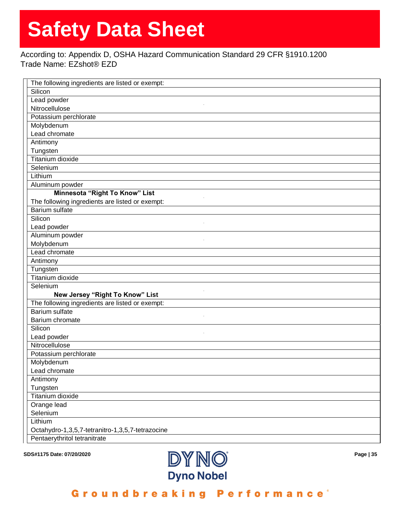## According to: Appendix D, OSHA Hazard Communication Standard 29 CFR §1910.1200 Trade Name: EZshot® EZD

| The following ingredients are listed or exempt:  |
|--------------------------------------------------|
| Silicon                                          |
| Lead powder                                      |
| Nitrocellulose                                   |
| Potassium perchlorate                            |
| Molybdenum                                       |
| Lead chromate                                    |
| Antimony                                         |
| Tungsten                                         |
| <b>Titanium dioxide</b>                          |
| Selenium                                         |
| Lithium                                          |
| Aluminum powder                                  |
| Minnesota "Right To Know" List                   |
| The following ingredients are listed or exempt:  |
| <b>Barium sulfate</b>                            |
| Silicon                                          |
| Lead powder                                      |
| Aluminum powder                                  |
| Molybdenum                                       |
| Lead chromate                                    |
| Antimony                                         |
| Tungsten                                         |
| <b>Titanium dioxide</b>                          |
| Selenium                                         |
| New Jersey "Right To Know" List                  |
| The following ingredients are listed or exempt:  |
| <b>Barium sulfate</b>                            |
| Barium chromate                                  |
| Silicon                                          |
| Lead powder                                      |
| Nitrocellulose                                   |
| Potassium perchlorate                            |
| Molybdenum                                       |
| Lead chromate                                    |
| Antimony                                         |
| Tungsten                                         |
| Titanium dioxide                                 |
| Orange lead                                      |
| Selenium                                         |
| Lithium                                          |
| Octahydro-1,3,5,7-tetranitro-1,3,5,7-tetrazocine |
| Pentaerythritol tetranitrate                     |



Groundbreaking Performance®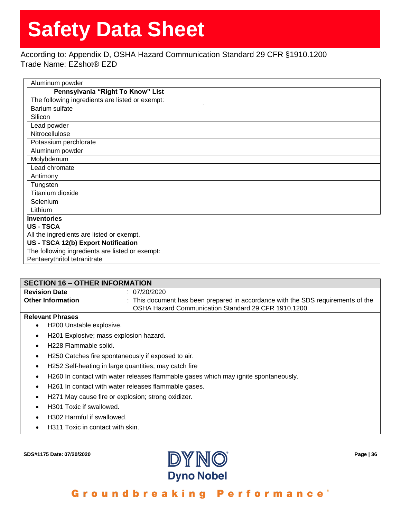According to: Appendix D, OSHA Hazard Communication Standard 29 CFR §1910.1200 Trade Name: EZshot® EZD

| Aluminum powder                                 |  |
|-------------------------------------------------|--|
| Pennsylvania "Right To Know" List               |  |
| The following ingredients are listed or exempt: |  |
| Barium sulfate                                  |  |
| Silicon                                         |  |
| Lead powder                                     |  |
| Nitrocellulose                                  |  |
| Potassium perchlorate                           |  |
| Aluminum powder                                 |  |
| Molybdenum                                      |  |
| Lead chromate                                   |  |
| Antimony                                        |  |
| Tungsten                                        |  |
| Titanium dioxide                                |  |
| Selenium                                        |  |
| Lithium                                         |  |
| <b>Inventories</b>                              |  |
| <b>US-TSCA</b>                                  |  |
| All the ingredients are listed or exempt.       |  |
| US - TSCA 12(b) Export Notification             |  |
| The following ingredients are listed or exempt: |  |
| Pentaerythritol tetranitrate                    |  |

### **SECTION 16 – OTHER INFORMATION**

| <b>Revision Date</b>     | 07/20/2020                                                                       |
|--------------------------|----------------------------------------------------------------------------------|
| <b>Other Information</b> | : This document has been prepared in accordance with the SDS requirements of the |
|                          | OSHA Hazard Communication Standard 29 CFR 1910.1200                              |

#### **Relevant Phrases**

- H200 Unstable explosive.
- H201 Explosive; mass explosion hazard.
- H228 Flammable solid.
- H250 Catches fire spontaneously if exposed to air.
- H252 Self-heating in large quantities; may catch fire
- H260 In contact with water releases flammable gases which may ignite spontaneously.
- H261 In contact with water releases flammable gases.
- H271 May cause fire or explosion; strong oxidizer.
- H301 Toxic if swallowed.
- H302 Harmful if swallowed.
- H311 Toxic in contact with skin.

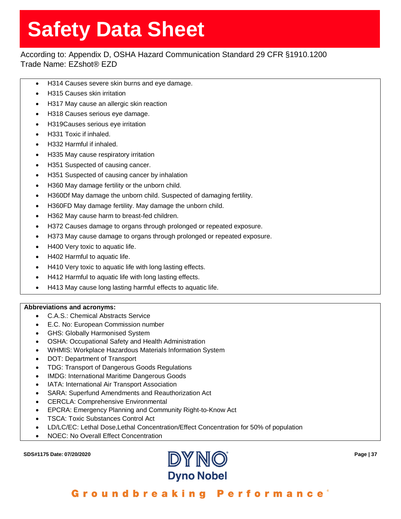## According to: Appendix D, OSHA Hazard Communication Standard 29 CFR §1910.1200 Trade Name: EZshot® EZD

- H314 Causes severe skin burns and eye damage.
- H315 Causes skin irritation
- H317 May cause an allergic skin reaction
- H318 Causes serious eye damage.
- H319Causes serious eye irritation
- H331 Toxic if inhaled.
- H332 Harmful if inhaled.
- H335 May cause respiratory irritation
- H351 Suspected of causing cancer.
- H351 Suspected of causing cancer by inhalation
- H360 May damage fertility or the unborn child.
- H360Df May damage the unborn child. Suspected of damaging fertility.
- H360FD May damage fertility. May damage the unborn child.
- H362 May cause harm to breast-fed children.
- H372 Causes damage to organs through prolonged or repeated exposure.
- H373 May cause damage to organs through prolonged or repeated exposure.
- H400 Very toxic to aquatic life.
- H402 Harmful to aquatic life.
- H410 Very toxic to aquatic life with long lasting effects.
- H412 Harmful to aquatic life with long lasting effects.
- H413 May cause long lasting harmful effects to aquatic life.

### **Abbreviations and acronyms:**

- C.A.S.: Chemical Abstracts Service
- E.C. No: European Commission number
- GHS: Globally Harmonised System
- OSHA: Occupational Safety and Health Administration
- WHMIS: Workplace Hazardous Materials Information System
- DOT: Department of Transport
- TDG: Transport of Dangerous Goods Regulations
- IMDG: International Maritime Dangerous Goods
- IATA: International Air Transport Association
- SARA: Superfund Amendments and Reauthorization Act
- CERCLA: Comprehensive Environmental
- EPCRA: Emergency Planning and Community Right-to-Know Act
- TSCA: Toxic Substances Control Act
- LD/LC/EC: Lethal Dose,Lethal Concentration/Effect Concentration for 50% of population
- NOEC: No Overall Effect Concentration

**SDS#1175 Date: 07/20/2020 Page | 37**